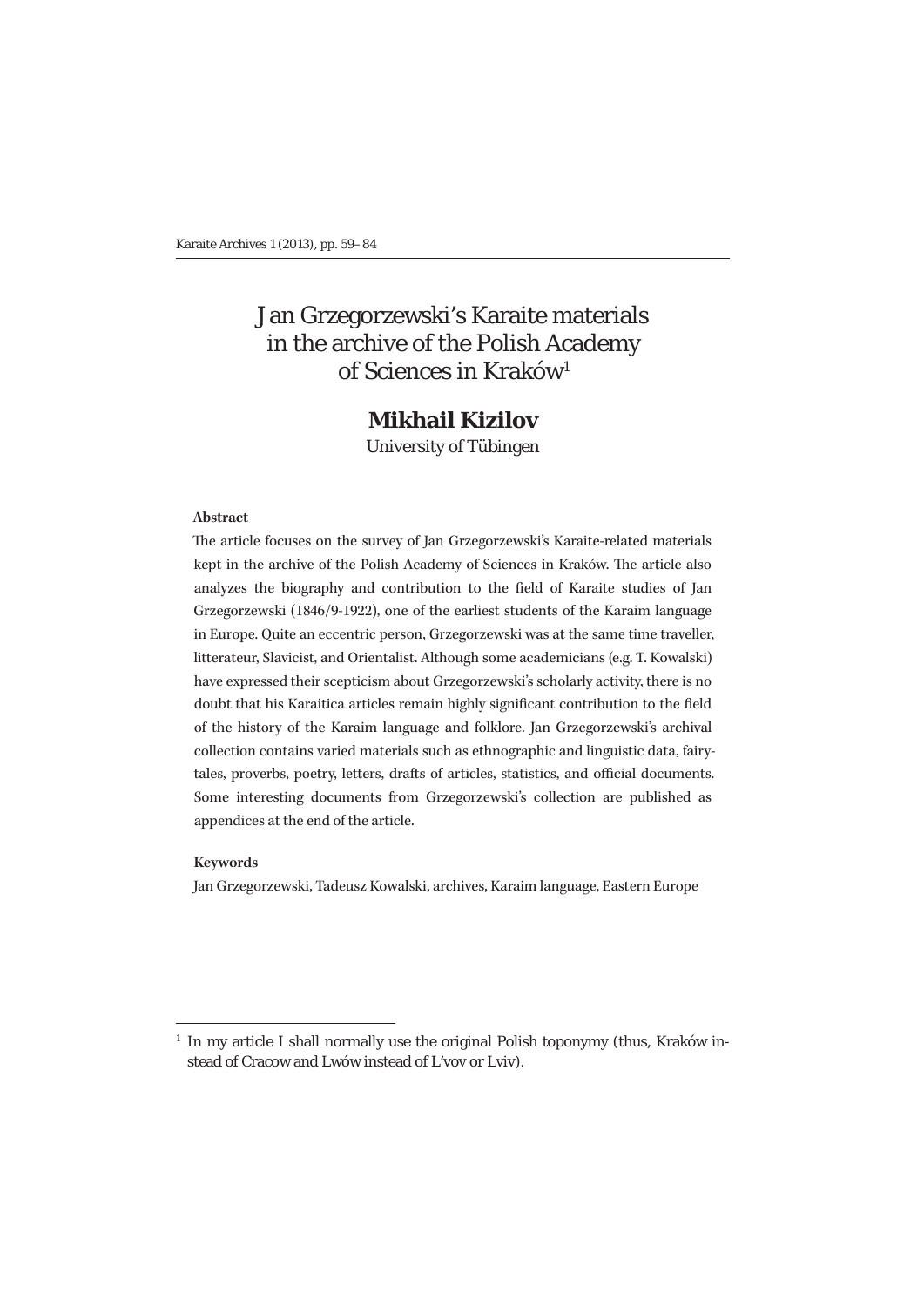# Jan Grzegorzewski's Karaite materials in the archive of the Polish Academy of Sciences in Kraków<sup>1</sup>

# **Mikhail Kizilov**

University of Tübingen

#### **Abstract**

The article focuses on the survey of Jan Grzegorzewski's Karaite-related materials kept in the archive of the Polish Academy of Sciences in Kraków. The article also analyzes the biography and contribution to the field of Karaite studies of Jan Grzegorzewski (1846/9-1922), one of the earliest students of the Karaim language in Europe. Quite an eccentric person, Grzegorzewski was at the same time traveller, litterateur, Slavicist, and Orientalist. Although some academicians (e.g. T. Kowalski) have expressed their scepticism about Grzegorzewski's scholarly activity, there is no doubt that his Karaitica articles remain highly significant contribution to the field of the history of the Karaim language and folklore. Jan Grzegorzewski's archival collection contains varied materials such as ethnographic and linguistic data, fairytales, proverbs, poetry, letters, drafts of articles, statistics, and official documents. Some interesting documents from Grzegorzewski's collection are published as appendices at the end of the article.

#### **Keywords**

Jan Grzegorzewski, Tadeusz Kowalski, archives, Karaim language, Eastern Europe

<sup>1</sup> In my article I shall normally use the original Polish toponymy (thus, Kraków instead of Cracow and Lwów instead of L'vov or Lviv).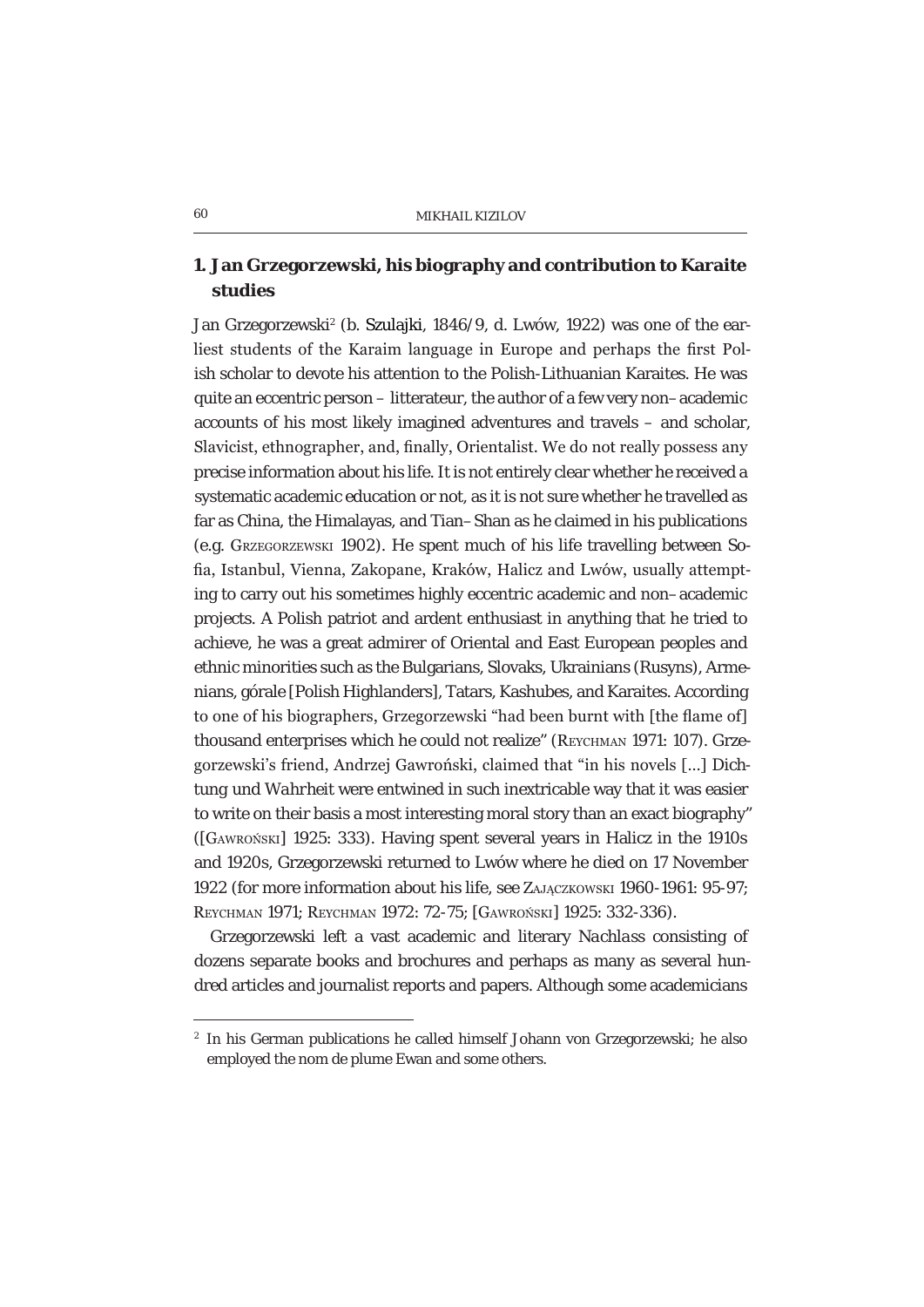## **1. Jan Grzegorzewski, his biography and contribution to Karaite studies**

Jan Grzegorzewski<sup>2</sup> (b. Szulajki, 1846/9, d. Lwów, 1922) was one of the earliest students of the Karaim language in Europe and perhaps the first Polish scholar to devote his attention to the Polish-Lithuanian Karaites. He was quite an eccentric person – litterateur, the author of a few very non–academic accounts of his most likely imagined adventures and travels – and scholar, Slavicist, ethnographer, and, finally, Orientalist. We do not really possess any precise information about his life. It is not entirely clear whether he received a systematic academic education or not, as it is not sure whether he travelled as far as China, the Himalayas, and Tian–Shan as he claimed in his publications (e.g. GRZEGORZEWSKI 1902). He spent much of his life travelling between So fia, Istanbul, Vienna, Zakopane, Kraków, Halicz and Lwów, usually attempting to carry out his sometimes highly eccentric academic and non–academic projects. A Polish patriot and ardent enthusiast in anything that he tried to achieve, he was a great admirer of Oriental and East European peoples and ethnic minorities such as the Bulgarians, Slovaks, Ukrainians (Rusyns), Armenians, górale [Polish Highlanders], Tatars, Kashubes, and Karaites. According to one of his biographers, Grzegorzewski "had been burnt with [the flame of] thousand enterprises which he could not realize" (REYCHMAN 1971: 107). Grzegorzewski's friend, Andrzei Gawroński, claimed that "in his novels [...] *Dichtung und Wahrheit* were entwined in such inextricable way that it was easier to write on their basis a most interesting moral story than an exact biography" ([GAWROŃSKI] 1925: 333). Having spent several years in Halicz in the 1910s and 1920s, Grzegorzewski returned to Lwów where he died on 17 November 1922 (for more information about his life, see ZAJACZKOWSKI 1960-1961: 95-97; REYCHMAN 1971; REYCHMAN 1972; 72-75; [GAWROŃSKI] 1925; 332-336).

Grzegorzewski left a vast academic and literary *Nachlass* consisting of dozens separate books and brochures and perhaps as many as several hundred articles and journalist reports and papers. Although some academicians

<sup>&</sup>lt;sup>2</sup> In his German publications he called himself Johann von Grzegorzewski; he also employed the nom de plume Ewan and some others.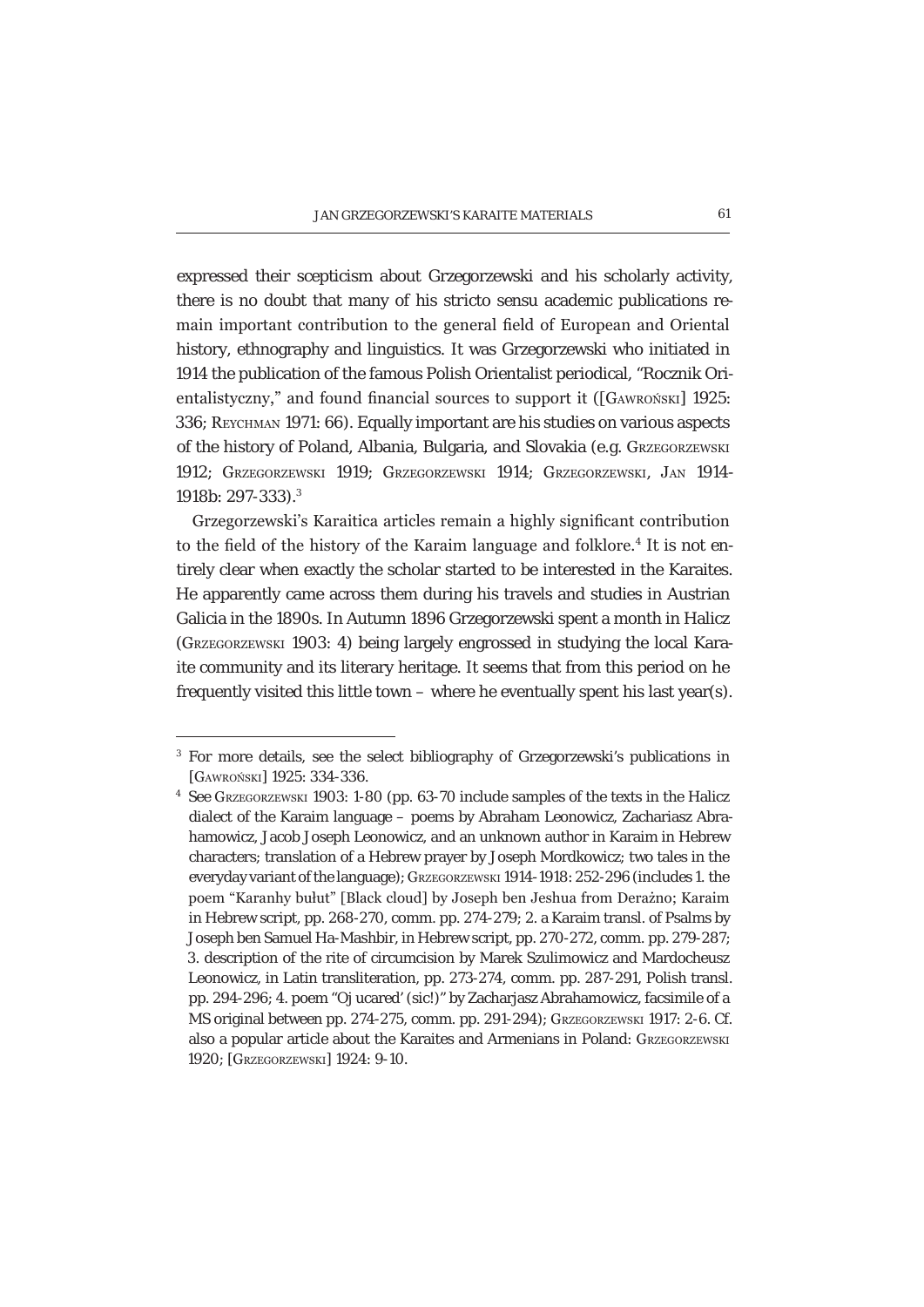expressed their scepticism about Grzegorzewski and his scholarly activity, there is no doubt that many of his *stricto sensu* academic publications remain important contribution to the general field of European and Oriental history, ethnography and linguistics. It was Grzegorzewski who initiated in 1914 the publication of the famous Polish Orientalist periodical, "Rocznik Orientalistyczny," and found financial sources to support it ([GAWROŃSKI] 1925: 336; REYCHMAN 1971: 66). Equally important are his studies on various aspects of the history of Poland, Albania, Bulgaria, and Slovakia (e.g. GRZEGORZEWSKI 1912; GRZEGORZEWSKI 1919; GRZEGORZEWSKI 1914; GRZEGORZEWSKI, JAN 1914- 1918b: 297-333).3

Grzegorzewski's Karaitica articles remain a highly significant contribution to the field of the history of the Karaim language and folklore.<sup>4</sup> It is not entirely clear when exactly the scholar started to be interested in the Karaites. He apparently came across them during his travels and studies in Austrian Galicia in the 1890s. In Autumn 1896 Grzegorzewski spent a month in Halicz (GRZEGORZEWSKI 1903: 4) being largely engrossed in studying the local Karaite community and its literary heritage. It seems that from this period on he frequently visited this little town – where he eventually spent his last year(s).

<sup>&</sup>lt;sup>3</sup> For more details, see the select bibliography of Grzegorzewski's publications in [GAWROŃSKI] 1925: 334-336.

<sup>4</sup> See GRZEGORZEWSKI 1903: 1-80 (pp. 63-70 include samples of the texts in the Halicz dialect of the Karaim language – poems by Abraham Leonowicz, Zachariasz Abrahamowicz, Jacob Joseph Leonowicz, and an unknown author in Karaim in Hebrew characters; translation of a Hebrew prayer by Joseph Mordkowicz; two tales in the every day variant of the language); GRZEGORZEWSKI 1914-1918: 252-296 (includes 1. the poem "Karanhy bułut" [Black cloud] by Joseph ben Jeshua from Derażno; Karaim in Hebrew script, pp. 268-270, comm. pp. 274-279; 2. a Karaim transl. of Psalms by Joseph ben Samuel Ha-Mashbir, in Hebrew script, pp. 270-272, comm. pp. 279-287; 3. description of the rite of circumcision by Marek Szulimowicz and Mardocheusz Leonowicz, in Latin transliteration, pp. 273-274, comm. pp. 287-291, Polish transl. pp. 294-296; 4. poem "Oj ucared' (sic!)" by Zacharjasz Abrahamowicz, facsimile of a MS original between pp. 274-275, comm. pp. 291-294); GRZEGORZEWSKI 1917: 2-6. Cf. also a popular article about the Karaites and Armenians in Poland: GRZEGORZEWSKI 1920; [GRZEGORZEWSKI] 1924: 9-10.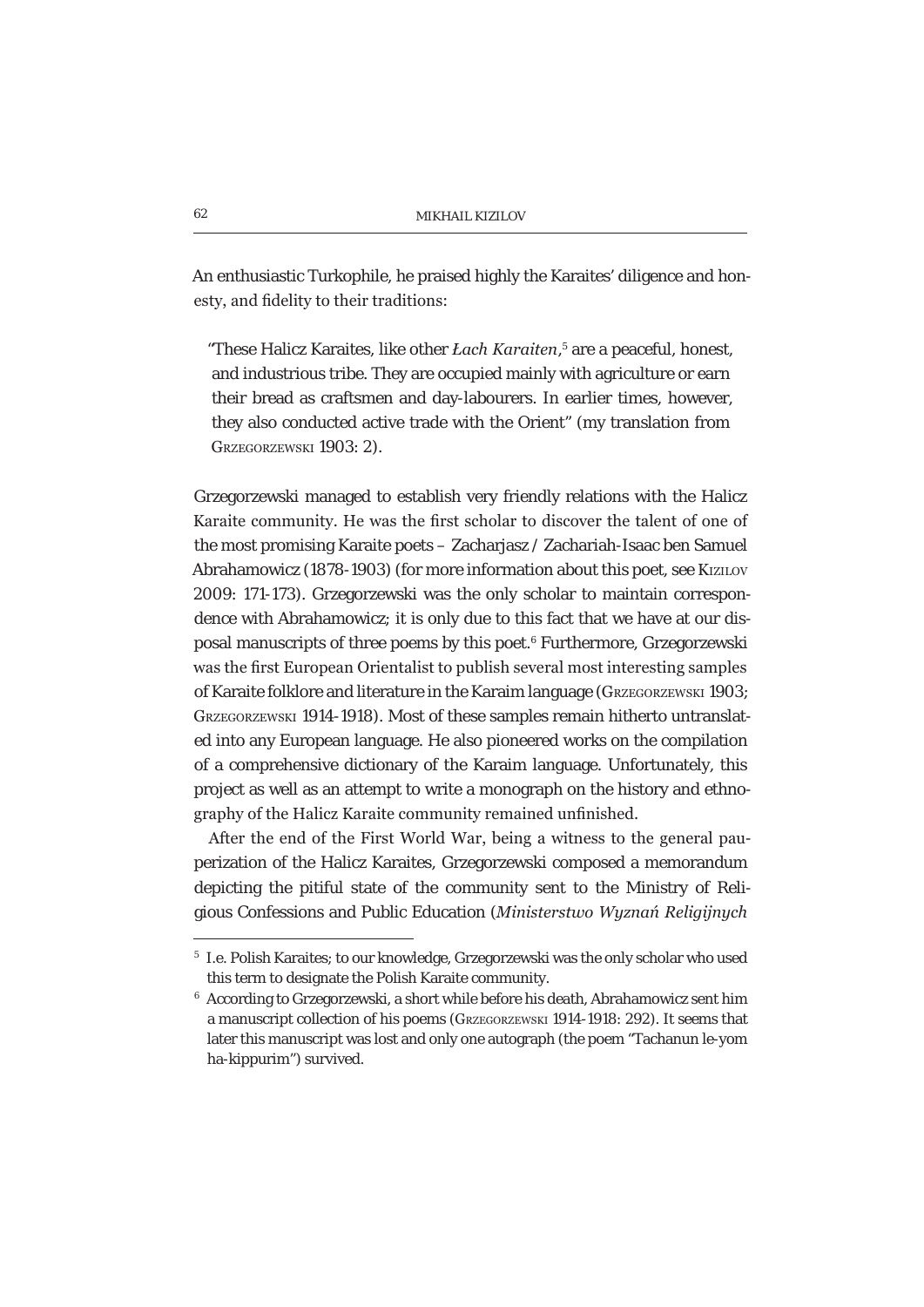An enthusiastic Turkophile, he praised highly the Karaites' diligence and honesty, and fidelity to their traditions:

"These Halicz Karaites, like other *Łach Karaiten*,<sup>5</sup> are a peaceful, honest, and industrious tribe. They are occupied mainly with agriculture or earn their bread as craftsmen and day-labourers. In earlier times, however, they also conducted active trade with the Orient" (my translation from GRZEGORZEWSKI 1903: 2).

Grzegorzewski managed to establish very friendly relations with the Halicz Karaite community. He was the first scholar to discover the talent of one of the most promising Karaite poets – Zacharjasz / Zachariah-Isaac ben Samuel Abrahamowicz (1878-1903) (for more information about this poet, see KiziLov 2009: 171-173). Grzegorzewski was the only scholar to maintain correspondence with Abrahamowicz; it is only due to this fact that we have at our disposal manuscripts of three poems by this poet.<sup>6</sup> Furthermore, Grzegorzewski was the first European Orientalist to publish several most interesting samples of Karaite folklore and literature in the Karaim language (GRZEGORZEWSKI 1903; GRZEGORZEWSKI 1914-1918). Most of these samples remain hitherto untranslated into any European language. He also pioneered works on the compilation of a comprehensive dictionary of the Karaim language. Unfortunately, this project as well as an attempt to write a monograph on the history and ethnography of the Halicz Karaite community remained unfinished.

After the end of the First World War, being a witness to the general pauperization of the Halicz Karaites, Grzegorzewski composed a memorandum depicting the pitiful state of the community sent to the Ministry of Reliaious Confessions and Public Education (*Ministerstwo Wuznań Religiinuch* 

<sup>5</sup> I.e. Polish Karaites; to our knowledge, Grzegorzewski was the only scholar who used this term to designate the Polish Karaite community.

 $^6\,$  According to Grzegorzewski, a short while before his death, Abrahamowicz sent him a manuscript collection of his poems (GRZEGORZEWSKI 1914-1918: 292). It seems that later this manuscript was lost and only one autograph (the poem "Tachanun le-yom ha-kippurim") survived.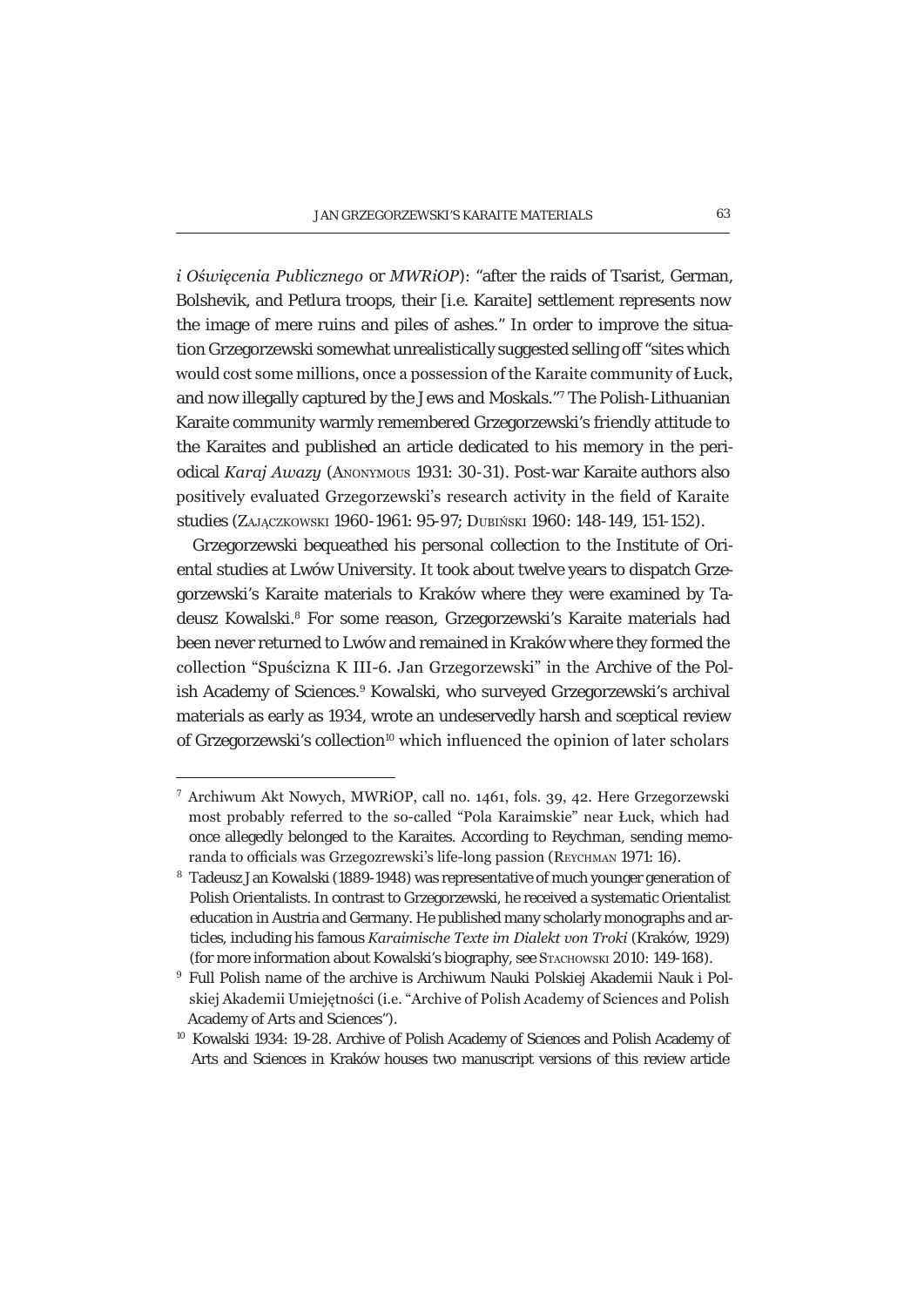*i* Oświęcenia Publicznego or MWRiOP): "after the raids of Tsarist, German, Bolshevik, and Petlura troops, their [i.e. Karaite] settlement represents now the image of mere ruins and piles of ashes." In order to improve the situation Grzegorzewski somewhat unrealistically suggested selling off "sites which would cost some millions, once a possession of the Karaite community of Łuck. and now illegally captured by the Jews and Moskals."<sup>7</sup> The Polish-Lithuanian Karaite community warmly remembered Grzegorzewski's friendly attitude to the Karaites and published an article dedicated to his memory in the periodical Karaj Awazy (ANONYMOUS 1931: 30-31). Post-war Karaite authors also positively evaluated Grzegorzewski's research activity in the field of Karaite studies (ZAJACZKOWSKI 1960-1961; 95-97; DUBIŃSKI 1960; 148-149, 151-152).

Grzegorzewski bequeathed his personal collection to the Institute of Oriental studies at Lwów University. It took about twelve vears to dispatch Grzegorzewski's Karaite materials to Kraków where they were examined by Tadeusz Kowalski.<sup>8</sup> For some reason, Grzegorzewski's Karaite materials had been never returned to Lwów and remained in Kraków where they formed the collection "Spuścizna K III-6, Jan Grzegorzewski" in the Archive of the Polish Academy of Sciences.<sup>9</sup> Kowalski, who surveyed Grzegorzewski's archival materials as early as 1934, wrote an undeservedly harsh and sceptical review of Grzegorzewski's collection<sup>10</sup> which influenced the opinion of later scholars

<sup>&</sup>lt;sup>7</sup> Archiwum Akt Nowych, MWRiOP, call no. 1461, fols. 39, 42. Here Grzegorzewski most probably referred to the so-called "Pola Karaimskie" near Łuck, which had once allegedly belonged to the Karaites. According to Reychman, sending memoranda to officials was Grzegozrewski's life-long passion (REYCHMAN 1971: 16).

<sup>&</sup>lt;sup>8</sup> Tadeusz Jan Kowalski (1889-1948) was representative of much younger generation of Polish Orientalists. In contrast to Grzegorzewski, he received a systematic Orientalist education in Austria and Germany. He published many scholarly monographs and articles, including his famous Karaimische Texte im Dialekt von Troki (Kraków, 1929) (for more information about Kowalski's biography, see STACHOWSKI 2010: 149-168).

<sup>&</sup>lt;sup>9</sup> Full Polish name of the archive is Archiwum Nauki Polskiej Akademii Nauk i Polskiej Akademii Umiejetności (i.e. "Archive of Polish Academy of Sciences and Polish Academy of Arts and Sciences").

<sup>&</sup>lt;sup>10</sup> Kowalski 1934: 19-28. Archive of Polish Academy of Sciences and Polish Academy of Arts and Sciences in Kraków houses two manuscript versions of this review article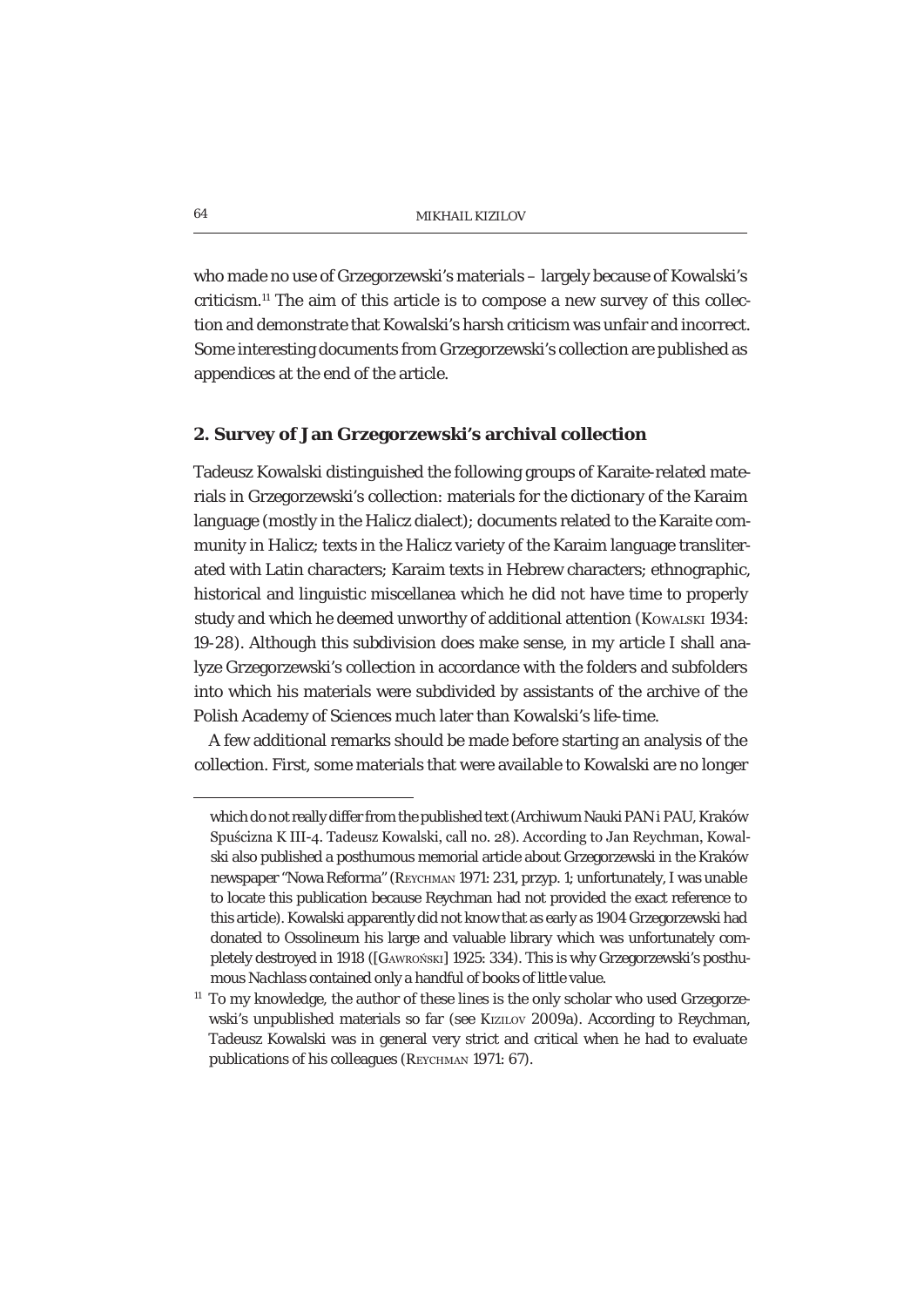who made no use of Grzegorzewski's materials – largely because of Kowalski's criticism.11 The aim of this article is to compose a new survey of this collection and demonstrate that Kowalski's harsh criticism was unfair and incorrect. Some interesting documents from Grzegorzewski's collection are published as appendices at the end of the article.

#### **2. Survey of Jan Grzegorzewski's archival collection**

Tadeusz Kowalski distinguished the following groups of Karaite-related materials in Grzegorzewski's collection: materials for the dictionary of the Karaim language (mostly in the Halicz dialect); documents related to the Karaite community in Halicz; texts in the Halicz variety of the Karaim language transliterated with Latin characters; Karaim texts in Hebrew characters; ethnographic, historical and linguistic miscellanea which he did not have time to properly study and which he deemed unworthy of additional attention (KOWALSKI 1934: 19-28). Although this subdivision does make sense, in my article I shall analyze Grzegorzewski's collection in accordance with the folders and subfolders into which his materials were subdivided by assistants of the archive of the Polish Academy of Sciences much later than Kowalski's life-time.

A few additional remarks should be made before starting an analysis of the collection. First, some materials that were available to Kowalski are no longer

which do not really differ from the published text (Archiwum Nauki PAN i PAU, Kraków Spuścizna K III-4. Tadeusz Kowalski, call no. 28). According to Jan Reychman, Kowalski also published a posthumous memorial article about Grzegorzewski in the Kraków newspaper "Nowa Reforma" (REYCHMAN 1971: 231, przyp. 1; unfortunately, I was unable to locate this publication because Reychman had not provided the exact reference to this article). Kowalski apparently did not know that as early as 1904 Grzegorzewski had donated to Ossolineum his large and valuable library which was unfortunately completely destroyed in 1918 ([GAWRONSKI] 1925: 334). This is why Grzegorzewski's posthumous *Nachlass* contained only a handful of books of little value.

 $11$  To my knowledge, the author of these lines is the only scholar who used Grzegorzewski's unpublished materials so far (see KIZILOV 2009a). According to Reychman, Tadeusz Kowalski was in general very strict and critical when he had to evaluate publications of his colleagues (REYCHMAN 1971: 67).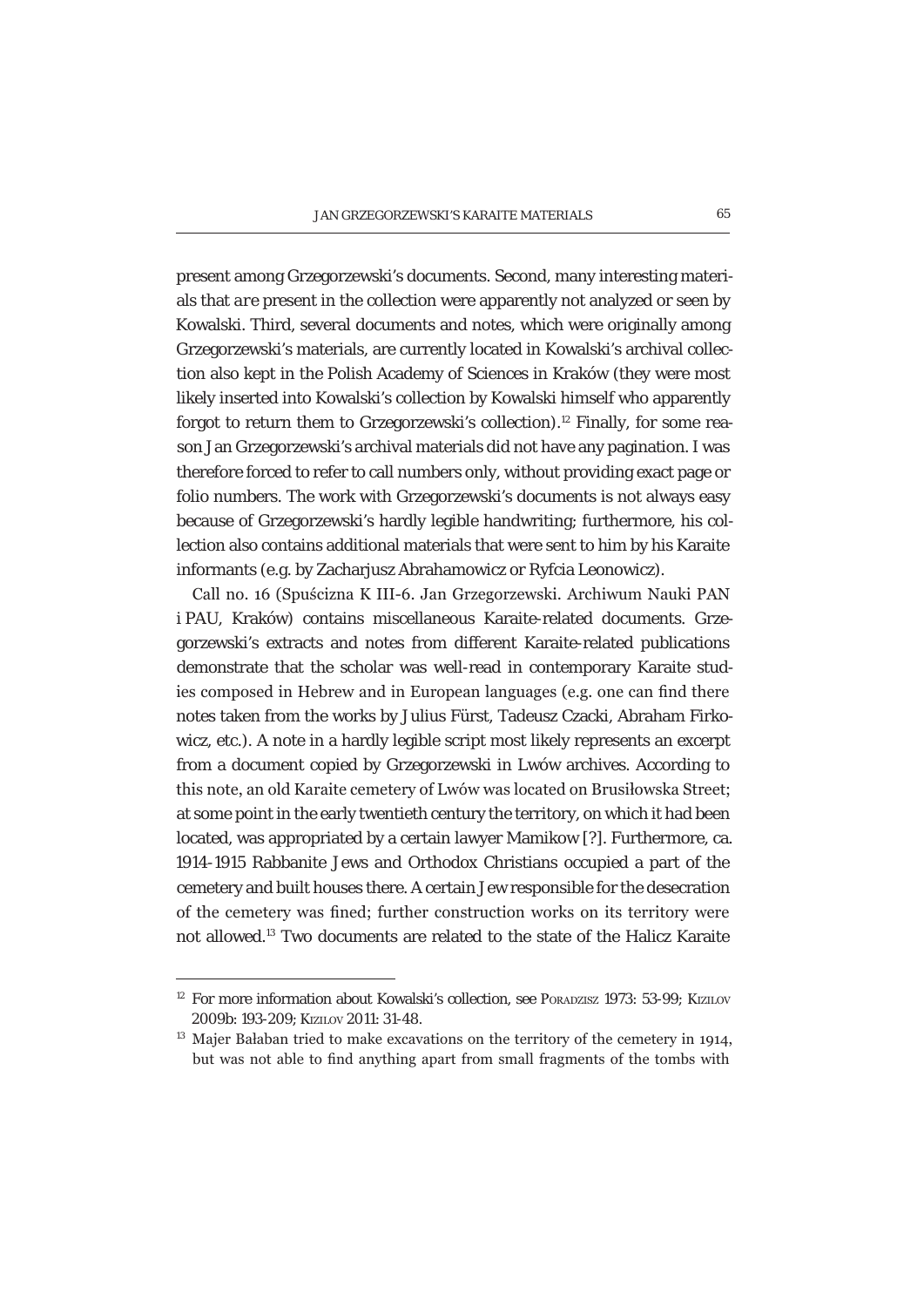present among Grzegorzewski's documents. Second, many interesting materials that *are* present in the collection were apparently not analyzed or seen by Kowalski. Third, several documents and notes, which were originally among Grzegorzewski's materials, are currently located in Kowalski's archival collection also kept in the Polish Academy of Sciences in Kraków (they were most likely inserted into Kowalski's collection by Kowalski himself who apparently forgot to return them to Grzegorzewski's collection).<sup>12</sup> Finally, for some reason Jan Grzegorzewski's archival materials did not have any pagination. I was therefore forced to refer to call numbers only, without providing exact page or folio numbers. The work with Grzegorzewski's documents is not always easy because of Grzegorzewski's hardly legible handwriting; furthermore, his collection also contains additional materials that were sent to him by his Karaite informants (e.g. by Zacharjusz Abrahamowicz or Ryfcia Leonowicz).

Call no. 16 (Spuścizna K III-6, Jan Grzegorzewski, Archiwum Nauki PAN i PAU, Kraków) contains miscellaneous Karaite-related documents. Grzegorzewski's extracts and notes from different Karaite-related publications demonstrate that the scholar was well-read in contemporary Karaite studies composed in Hebrew and in European languages (e.g. one can find there notes taken from the works by Julius Fürst, Tadeusz Czacki, Abraham Firkowicz, etc.). A note in a hardly legible script most likely represents an excerpt from a document copied by Grzegorzewski in Lwów archives. According to this note, an old Karaite cemetery of Lwów was located on Brusiłowska Street; at some point in the early twentieth century the territory, on which it had been located, was appropriated by a certain lawyer Mamikow [?]. Furthermore, ca. 1914-1915 Rabbanite Jews and Orthodox Christians occupied a part of the cemetery and built houses there. A certain Jew responsible for the desecration of the cemetery was fined: further construction works on its territory were not allowed.13 Two documents are related to the state of the Halicz Karaite

<sup>&</sup>lt;sup>12</sup> For more information about Kowalski's collection, see PORADZISZ 1973: 53-99; KIZILOV 2009b: 193-209; KIZILOV 2011: 31-48.

 $13$  Majer Bałaban tried to make excavations on the territory of the cemetery in 1914, but was not able to find anything apart from small fragments of the tombs with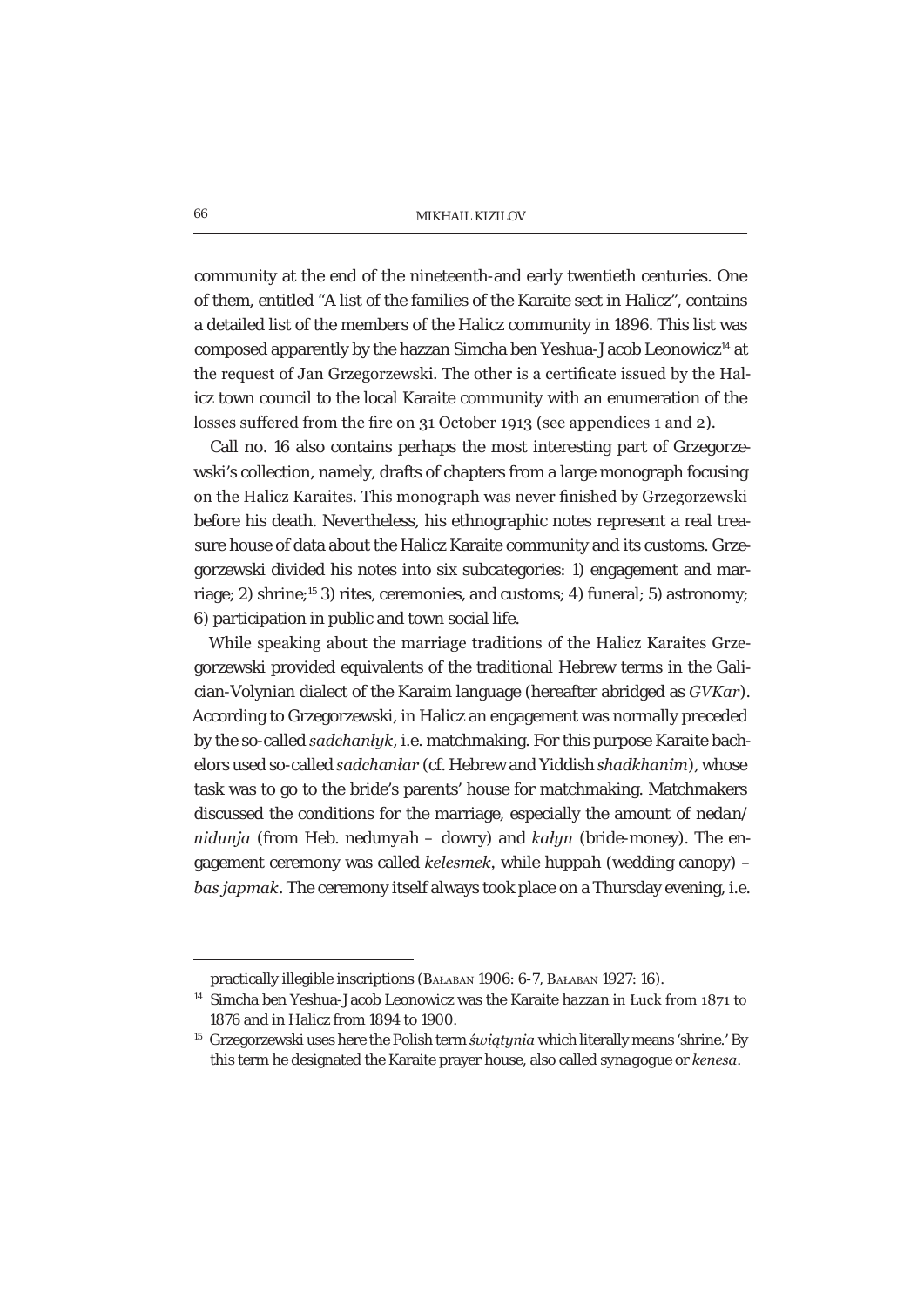community at the end of the nineteenth-and early twentieth centuries. One of them, entitled "A list of the families of the Karaite sect in Halicz", contains a detailed list of the members of the Halicz community in 1896. This list was composed apparently by the hazzan Simcha ben Yeshua-Jacob Leonowicz<sup>14</sup> at the request of Jan Grzegorzewski. The other is a certificate issued by the Halicz town council to the local Karaite community with an enumeration of the losses suffered from the fire on 31 October 1913 (see appendices 1 and 2).

Call no. 16 also contains perhaps the most interesting part of Grzegorzewski's collection, namely, drafts of chapters from a large monograph focusing on the Halicz Karaites. This monograph was never finished by Grzegorzewski before his death. Nevertheless, his ethnographic notes represent a real treasure house of data about the Halicz Karaite community and its customs. Grzegorzewski divided his notes into six subcategories: 1) engagement and marriage; 2) shrine;<sup>15</sup> 3) rites, ceremonies, and customs; 4) funeral; 5) astronomy; 6) participation in public and town social life.

While speaking about the marriage traditions of the Halicz Karaites Grzegorzewski provided equivalents of the traditional Hebrew terms in the Galician-Volynian dialect of the Karaim language (hereafter abridged as *GVKar*). According to Grzegorzewski, in Halicz an engagement was normally preceded by the so-called *sadchanluk*, i.e. matchmaking. For this purpose Karaite bachelors used so-called *sadchanlar* (cf. Hebrew and Yiddish *shadkhanim*), whose task was to go to the bride's parents' house for matchmaking. Matchmakers discussed the conditions for the marriage, especially the amount of *nedan/ nidunja* (from Heb. *nedunyah* – dowry) and *kałyn* (bride-money). The engagement ceremony was called *kelesmek*, while *huppah* (wedding canopy) – *bas japmak*. The ceremony itself always took place on a Thursday evening, i.e.

practically illegible inscriptions (BAŁABAN 1906: 6-7, BAŁABAN 1927: 16).

<sup>&</sup>lt;sup>14</sup> Simcha ben Yeshua-Jacob Leonowicz was the Karaite *hazzan* in Łuck from 1871 to 1876 and in Halicz from 1894 to 1900.

<sup>&</sup>lt;sup>15</sup> Grzegorzewski uses here the Polish term *świątynia* which literally means 'shrine.' By this term he designated the Karaite prayer house, also called *synagogue* or *kenesa*.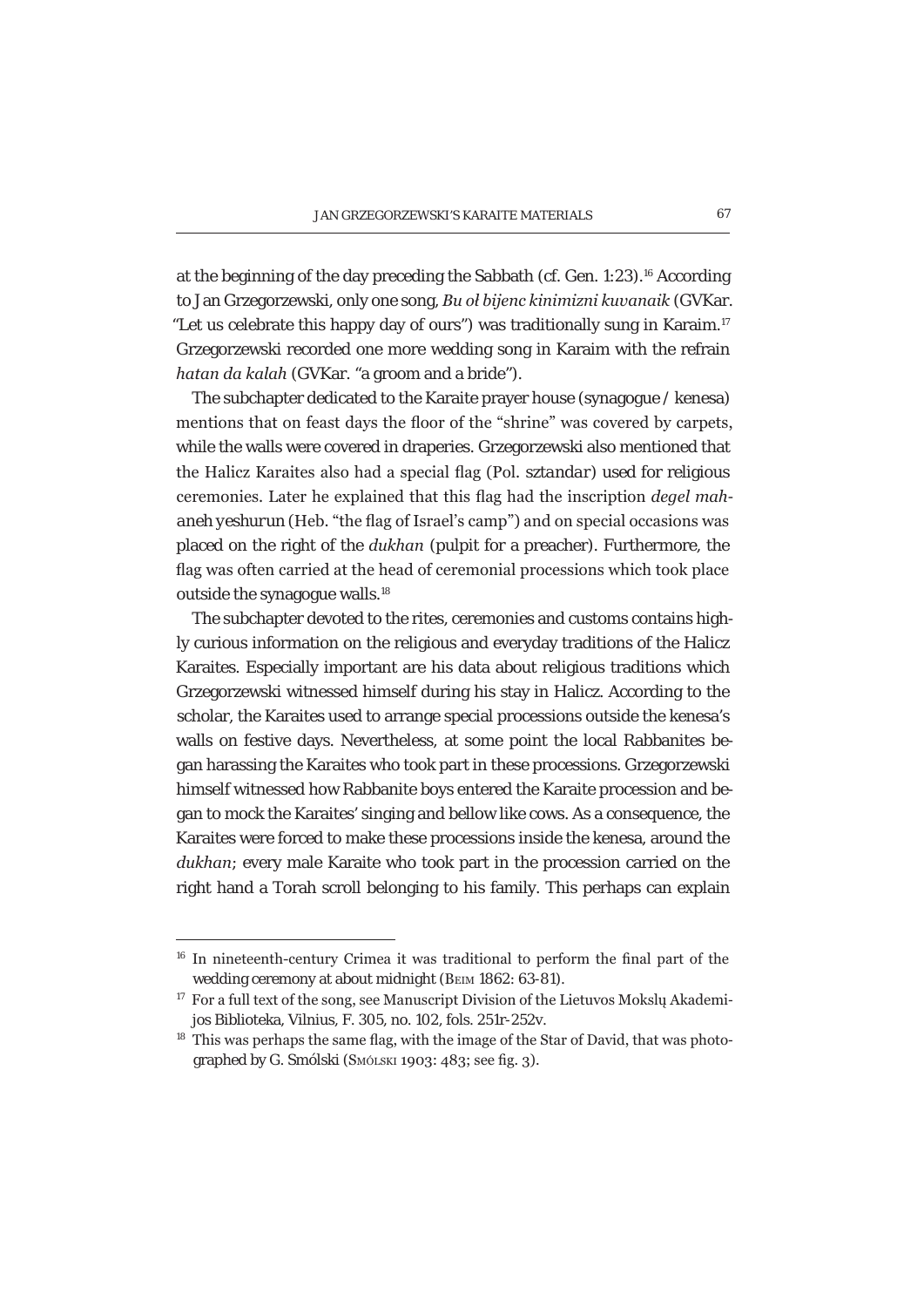at the beginning of the day preceding the Sabbath (cf. Gen. 1:23).16 According to Jan Grzegorzewski, only one song, *Bu oł bijenc kinimizni kuvanaik* (GVKar. "Let us celebrate this happy day of ours") was traditionally sung in Karaim.17 Grzegorzewski recorded one more wedding song in Karaim with the refrain *hatan da kalah* (GVKar. "a groom and a bride").

The subchapter dedicated to the Karaite prayer house (synagogue / kenesa) mentions that on feast days the floor of the "shrine" was covered by carpets, while the walls were covered in draperies. Grzegorzewski also mentioned that the Halicz Karaites also had a special flag (Pol. sztandar) used for religious ceremonies. Later he explained that this flag had the inscription *deael mahaneh yeshurun* (Heb. "the flag of Israel's camp") and on special occasions was placed on the right of the *dukhan* (pulpit for a preacher). Furthermore, the flag was often carried at the head of ceremonial processions which took place outside the synagogue walls.<sup>18</sup>

The subchapter devoted to the rites, ceremonies and customs contains highly curious information on the religious and everyday traditions of the Halicz Karaites. Especially important are his data about religious traditions which Grzegorzewski witnessed himself during his stay in Halicz. According to the scholar, the Karaites used to arrange special processions outside the kenesa's walls on festive days. Nevertheless, at some point the local Rabbanites began harassing the Karaites who took part in these processions. Grzegorzewski himself witnessed how Rabbanite boys entered the Karaite procession and began to mock the Karaites' singing and bellow like cows. As a consequence, the Karaites were forced to make these processions inside the kenesa, around the *dukhan*; every male Karaite who took part in the procession carried on the right hand a Torah scroll belonging to his family. This perhaps can explain

 $16$  In nineteenth-century Crimea it was traditional to perform the final part of the wedding ceremony at about midnight (BEIM 1862: 63-81).

<sup>&</sup>lt;sup>17</sup> For a full text of the song, see Manuscript Division of the Lietuvos Moksly Akademijos Biblioteka, Vilnius, F. 305, no. 102, fols. 251r-252v.

<sup>&</sup>lt;sup>18</sup> This was perhaps the same flag, with the image of the Star of David, that was photographed by G. Smólski (Smólski 1903: 483; see fig. 3).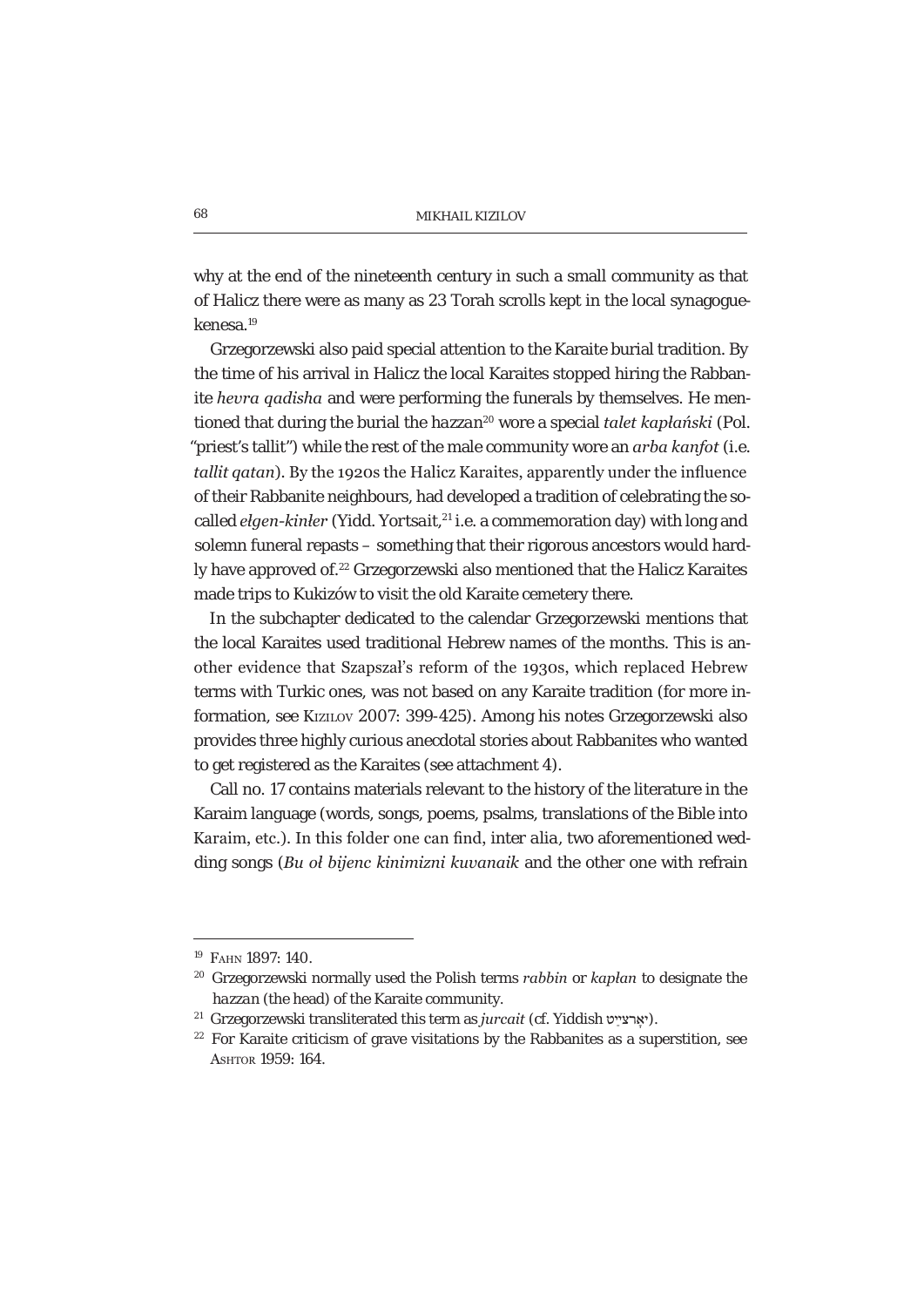why at the end of the nineteenth century in such a small community as that of Halicz there were as many as 23 Torah scrolls kept in the local synagoguekenesa.19

Grzegorzewski also paid special attention to the Karaite burial tradition. By the time of his arrival in Halicz the local Karaites stopped hiring the Rabbanite *hevra gadisha* and were performing the funerals by themselves. He mentioned that during the burial the *hazzan*<sup>20</sup> wore a special *talet kapłański* (Pol. "priest's tallit") while the rest of the male community wore an *arba kanfot* (i.e. *tallit gatan*). By the 1920s the Halicz Karaites, apparently under the influence of their Rabbanite neighbours, had developed a tradition of celebrating the socalled *elgen-kinler* (Yidd. *Yortsait*,<sup>21</sup> i.e. a commemoration day) with long and solemn funeral repasts – something that their rigorous ancestors would hardly have approved of.22 Grzegorzewski also mentioned that the Halicz Karaites made trips to Kukizów to visit the old Karaite cemetery there.

In the subchapter dedicated to the calendar Grzegorzewski mentions that the local Karaites used traditional Hebrew names of the months. This is another evidence that Szapszał's reform of the 1930s, which replaced Hebrew terms with Turkic ones, was not based on any Karaite tradition (for more information, see KIZILOV 2007: 399-425). Among his notes Grzegorzewski also provides three highly curious anecdotal stories about Rabbanites who wanted to get registered as the Karaites (see attachment 4).

Call no. 17 contains materials relevant to the history of the literature in the Karaim language (words, songs, poems, psalms, translations of the Bible into Karaim, etc.). In this folder one can find, *inter alia*, two aforementioned wedding songs (*Bu ol bijenc kinimizni kuvanaik* and the other one with refrain

<sup>19</sup> FAHN 1897: 140.

<sup>&</sup>lt;sup>20</sup> Grzegorzewski normally used the Polish terms *rabbin* or *kapłan* to designate the *hazzan* (the head) of the Karaite community.

<sup>&</sup>lt;sup>21</sup> Grzegorzewski transliterated this term as *jurcait* (cf. Yiddish יאָרצייַט).

 $22$  For Karaite criticism of grave visitations by the Rabbanites as a superstition, see ASHTOR 1959: 164.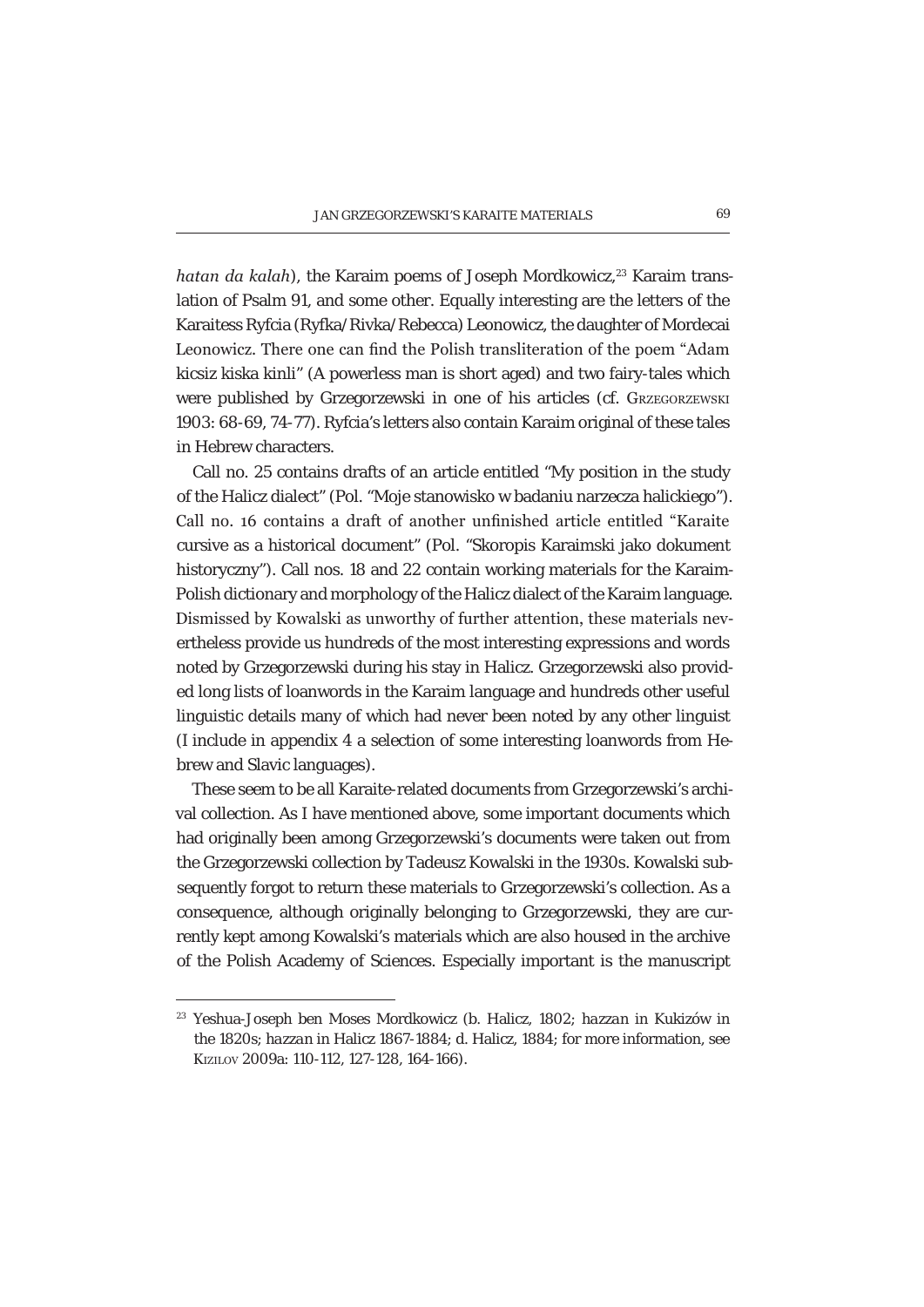*hatan da kalah*), the Karaim poems of Joseph Mordkowicz,<sup>23</sup> Karaim translation of Psalm 91, and some other. Equally interesting are the letters of the Karaitess Ryfcia (Ryfka/Rivka/Rebecca) Leonowicz, the daughter of Mordecai Leonowicz. There one can find the Polish transliteration of the poem "Adam" kicsiz kiska kinli" (A powerless man is short aged) and two fairy-tales which were published by Grzegorzewski in one of his articles (cf. GRZEGORZEWSKI 1903: 68-69, 74-77). Ryfcia's letters also contain Karaim original of these tales in Hebrew characters.

Call no. 25 contains drafts of an article entitled "My position in the study of the Halicz dialect" (Pol. "Moje stanowisko w badaniu narzecza halickiego"). Call no. 16 contains a draft of another unfinished article entitled "Karaite cursive as a historical document" (Pol. "Skoropis Karaimski jako dokument historyczny"). Call nos. 18 and 22 contain working materials for the Karaim-Polish dictionary and morphology of the Halicz dialect of the Karaim language. Dismissed by Kowalski as unworthy of further attention, these materials nevertheless provide us hundreds of the most interesting expressions and words noted by Grzegorzewski during his stay in Halicz. Grzegorzewski also provided long lists of loanwords in the Karaim language and hundreds other useful linguistic details many of which had never been noted by any other linguist (I include in appendix 4 a selection of some interesting loanwords from Hebrew and Slavic languages).

These seem to be all Karaite-related documents from Grzegorzewski's archival collection. As I have mentioned above, some important documents which had originally been among Grzegorzewski's documents were taken out from the Grzegorzewski collection by Tadeusz Kowalski in the 1930s. Kowalski subsequently forgot to return these materials to Grzegorzewski's collection. As a consequence, although originally belonging to Grzegorzewski, they are currently kept among Kowalski's materials which are also housed in the archive of the Polish Academy of Sciences. Especially important is the manuscript

<sup>23</sup> Yeshua-Joseph ben Moses Mordkowicz (b. Halicz, 1802; *hazzan* in Kukizów in the 1820s; *hazzan* in Halicz 1867-1884; d. Halicz, 1884; for more information, see KIZILOV 2009a: 110-112, 127-128, 164-166).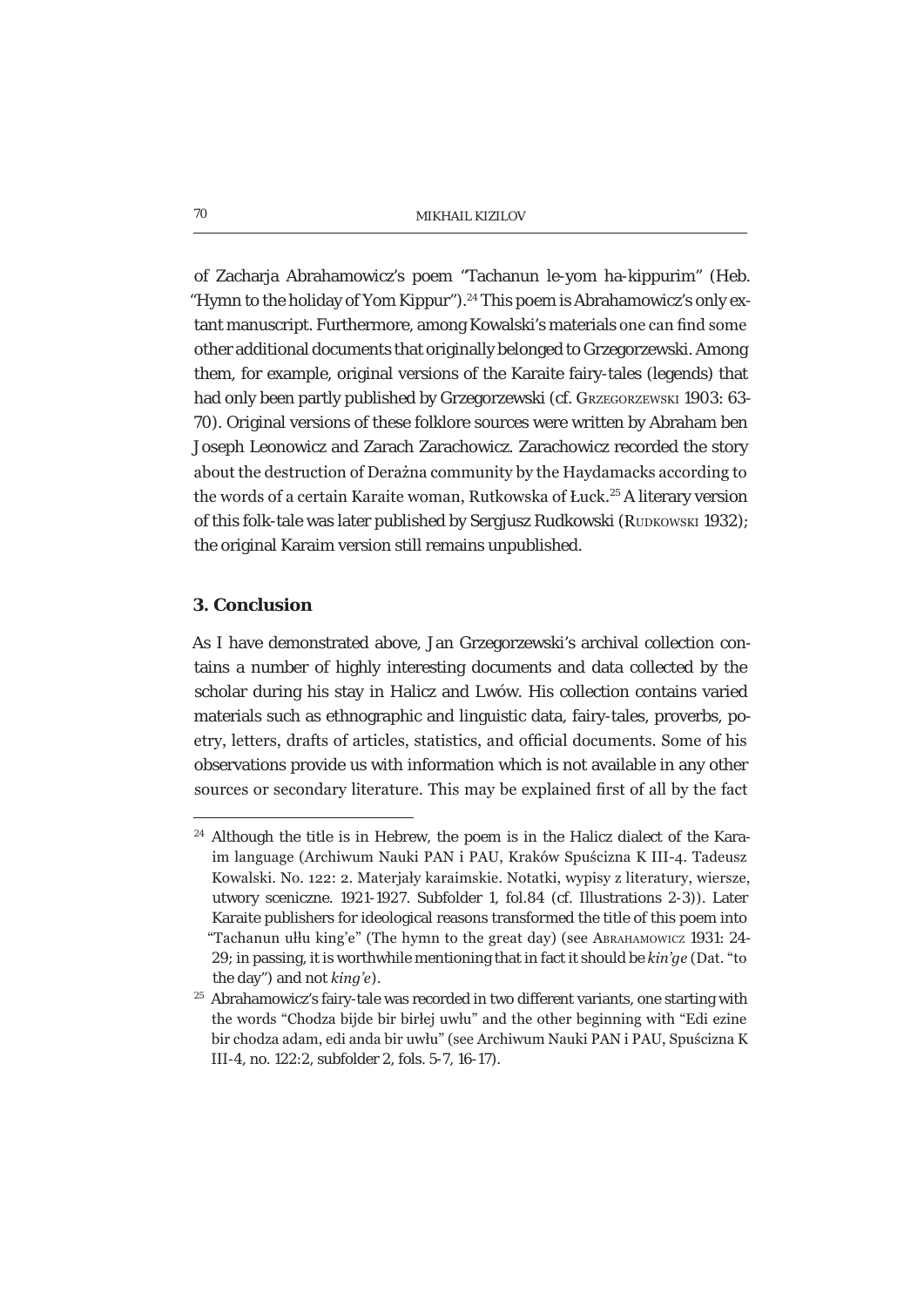of Zacharja Abrahamowicz's poem "Tachanun le-yom ha-kippurim" (Heb. "Hymn to the holiday of Yom Kippur").<sup>24</sup> This poem is Abrahamowicz's only extant manuscript. Furthermore, among Kowalski's materials one can find some other additional documents that originally belonged to Grzegorzewski. Among them, for example, original versions of the Karaite fairy-tales (legends) that had only been partly published by Grzegorzewski (cf. GRZEGORZEWSKI 1903: 63-70). Original versions of these folklore sources were written by Abraham ben Joseph Leonowicz and Zarach Zarachowicz. Zarachowicz recorded the story about the destruction of Derażna community by the Haydamacks according to the words of a certain Karaite woman, Rutkowska of Łuck.<sup>25</sup> A literary version of this folk-tale was later published by Sergiusz Rudkowski (RUDKOWSKI 1932); the original Karaim version still remains unpublished.

## **3. Conclusion**

As I have demonstrated above, Jan Grzegorzewski's archival collection contains a number of highly interesting documents and data collected by the scholar during his stay in Halicz and Lwów. His collection contains varied materials such as ethnographic and linguistic data, fairy-tales, proverbs, poetry, letters, drafts of articles, statistics, and official documents. Some of his observations provide us with information which is not available in any other sources or secondary literature. This may be explained first of all by the fact

<sup>&</sup>lt;sup>24</sup> Although the title is in Hebrew, the poem is in the Halicz dialect of the Karaim language (Archiwum Nauki PAN i PAU, Kraków Spuścizna K III-4. Tadeusz Kowalski. No. 122: 2. Materjały karaimskie. Notatki, wypisy z literatury, wiersze, utwory sceniczne. 1921-1927. Subfolder 1, fol.84 (cf. Illustrations 2-3)). Later Karaite publishers for ideological reasons transformed the title of this poem into "Tachanun ułłu king'e" (The hymn to the great day) (see ABRAHAMOWICZ 1931: 24-29; in passing, it is worthwhile mentioning that in fact it should be  $kin\ddot{g}e$  (Dat. "to the day") and not *king'e*).

 $25$  Abrahamowicz's fairy-tale was recorded in two different variants, one starting with the words "Chodza bijde bir birlej uwłu" and the other beginning with "Edi ezine" bir chodza adam, edi anda bir uwłu" (see Archiwum Nauki PAN i PAU, Spuścizna K III-4, no. 122:2, subfolder 2, fols. 5-7, 16-17).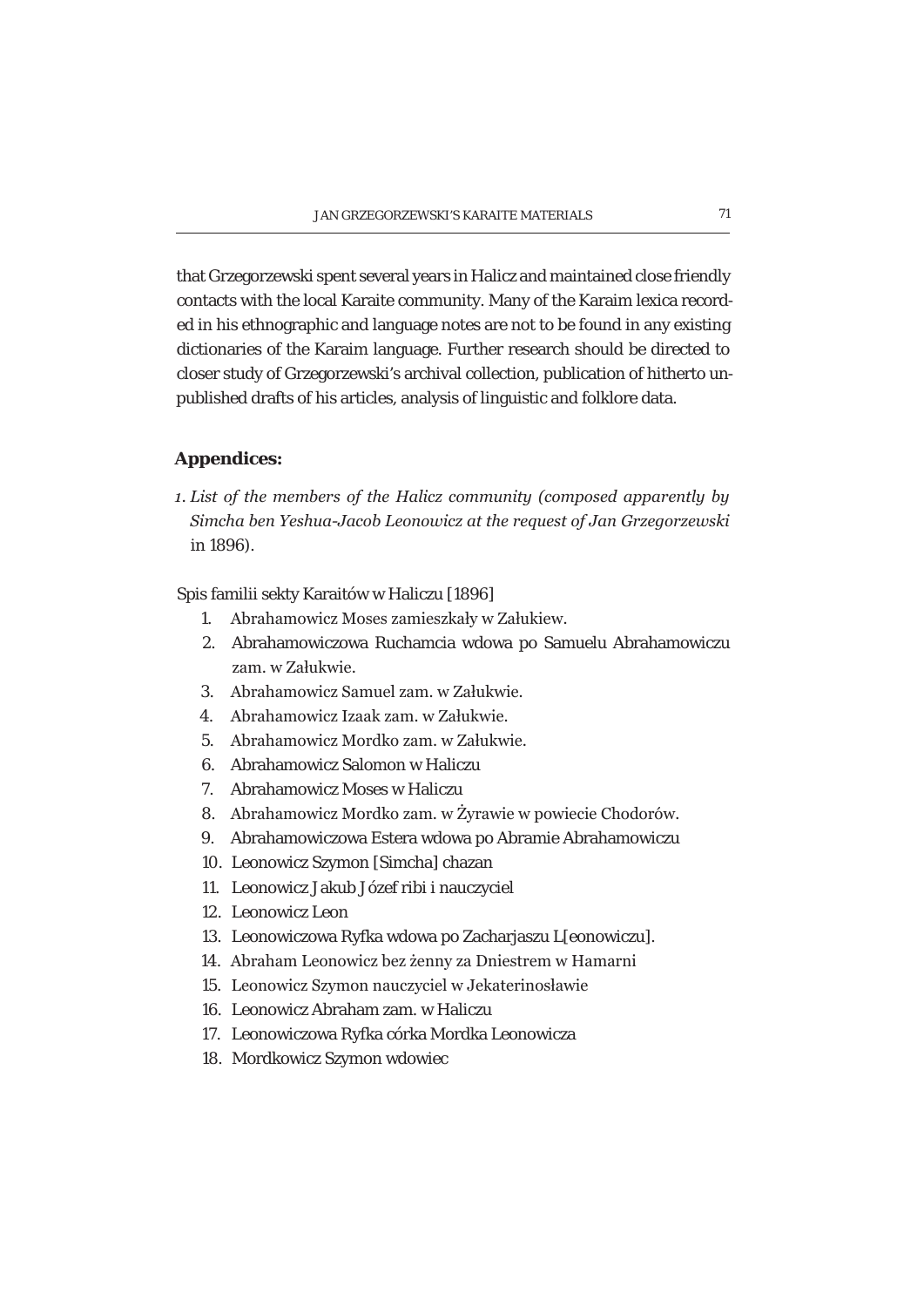that Grzegorzewski spent several years in Halicz and maintained close friendly contacts with the local Karaite community. Many of the Karaim lexica recorded in his ethnographic and language notes are not to be found in any existing dictionaries of the Karaim language. Further research should be directed to closer study of Grzegorzewski's archival collection, publication of hitherto unpublished drafts of his articles, analysis of linguistic and folklore data.

## **Appendices:**

*1. List of the members of the Halicz community (composed apparently by 6LPF KIDFX BINDER/Simcha bending DETA: Bimcha ben Yeshua-Jacob Leonovicz at the request of Jan Grzegorzewski in 1896).* 

Spis familii sekty Karaitów w Haliczu [1896]

- 1. Abrahamowicz Moses zamieszkały w Załukiew.
- 2. Abrahamowiczowa Ruchamcia wdowa po Samuelu Abrahamowiczu zam. w Załukwie.
- 3 Abrahamowicz Samuel zam. w Załukwie.
- 4. Abrahamowicz Izaak zam. w Załukwie.
- 5. Abrahamowicz Mordko zam. w Załukwie.
- 6. Abrahamowicz Salomon w Haliczu
- 7. Abrahamowicz Moses w Haliczu
- 8. Abrahamowicz Mordko zam. w Żyrawie w powiecie Chodorów.
- 9. Abrahamowiczowa Estera wdowa po Abramie Abrahamowiczu
- 10. Leonowicz Szymon [Simcha] chazan
- 11. Leonowicz Jakub Józef ribi i nauczyciel
- 12. Leonowicz Leon
- 13. Leonowiczowa Ryfka wdowa po Zacharjaszu L[eonowiczu].
- 14. Abraham Leonowicz bez żenny za Dniestrem w Hamarni
- 15. Leonowicz Szymon nauczyciel w Jekaterinosławie
- 16. Leonowicz Abraham zam. w Haliczu
- 17. Leonowiczowa Ryfka córka Mordka Leonowicza
- 18. Mordkowicz Szymon wdowiec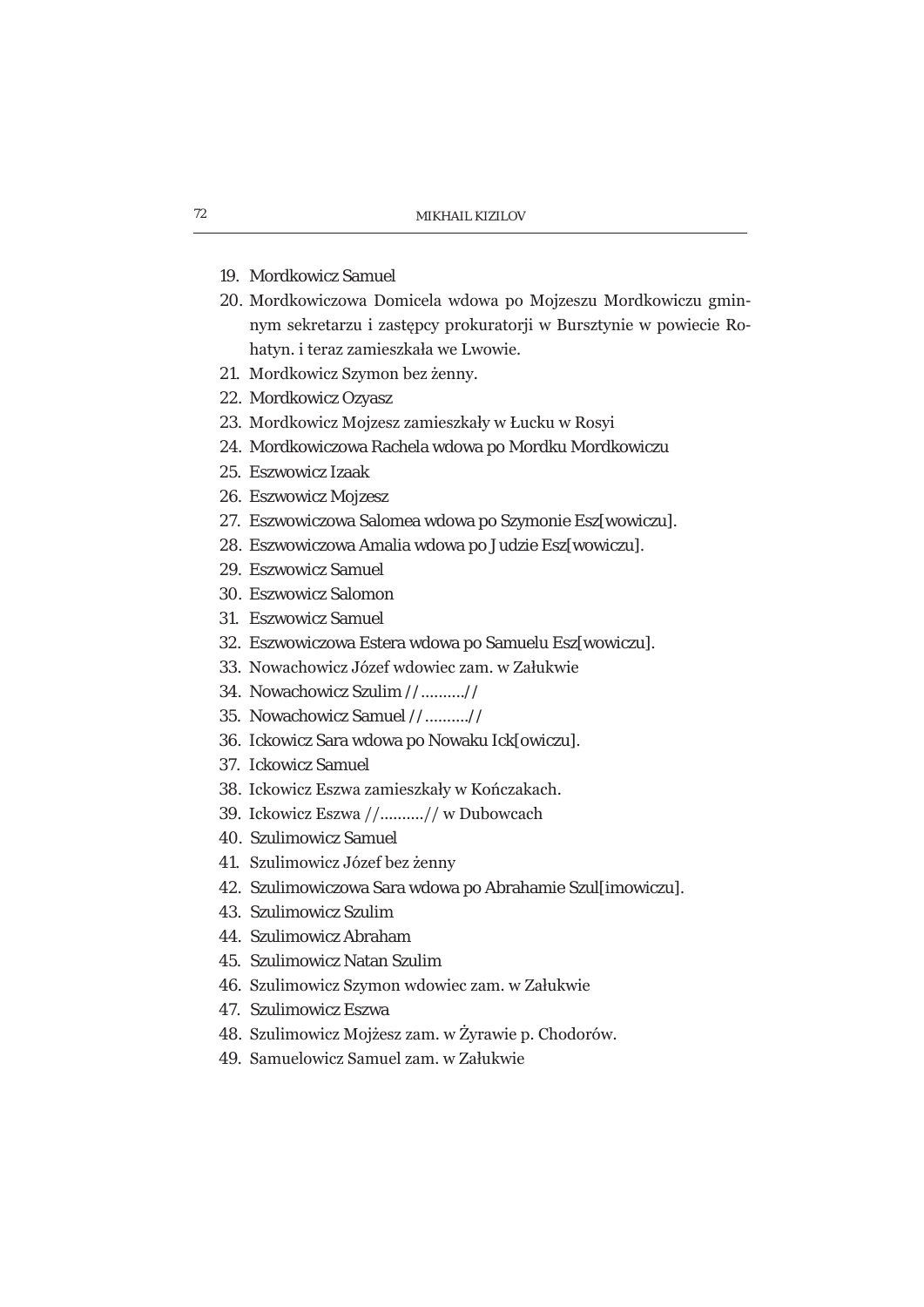- 19. Mordkowicz Samuel
- 20. Mordkowiczowa Domicela wdowa po Mojzeszu Mordkowiczu gminnym sekretarzu i zastępcy prokuratorji w Bursztynie w powiecie Rohatyn, i teraz zamieszkała we Lwowie.
- 21. Mordkowicz Szymon bez żenny.
- 22. Mordkowicz Ozyasz
- 23. Mordkowicz Mojzesz zamieszkały w Łucku w Rosyi
- 24. Mordkowiczowa Rachela wdowa po Mordku Mordkowiczu
- 25. Eszwowicz Izaak
- 26. Eszwowicz Mojzesz
- 27. Eszwowiczowa Salomea wdowa po Szymonie Esz[wowiczu].
- 28. Eszwowiczowa Amalia wdowa po Judzie Esz[wowiczu].
- 29. Eszwowicz Samuel
- 30. Eszwowicz Salomon
- 31. Eszwowicz Samuel
- 32. Eszwowiczowa Estera wdowa po Samuelu Esz[wowiczu].
- 33. Nowachowicz Józef wdowiec zam. w Załukwie
- 34. Nowachowicz Szulim //..........//
- 35. Nowachowicz Samuel //..........//
- 36. Ickowicz Sara wdowa po Nowaku Ick[owiczu].
- 37. Ickowicz Samuel
- 38. Ickowicz Eszwa zamieszkały w Kończakach.
- 39. Ickowicz Eszwa //.........// w Dubowcach
- 40. Szulimowicz Samuel
- 41. Szulimowicz Józef bez żenny
- 42. Szulimowiczowa Sara wdowa po Abrahamie Szul[imowiczu].
- 43. Szulimowicz Szulim
- 44. Szulimowicz Abraham
- 45. Szulimowicz Natan Szulim
- 46. Szulimowicz Szymon wdowiec zam. w Załukwie
- 47. Szulimowicz Eszwa
- 48. Szulimowicz Mojżesz zam. w Żyrawie p. Chodorów.
- 49. Samuelowicz Samuel zam. w Załukwie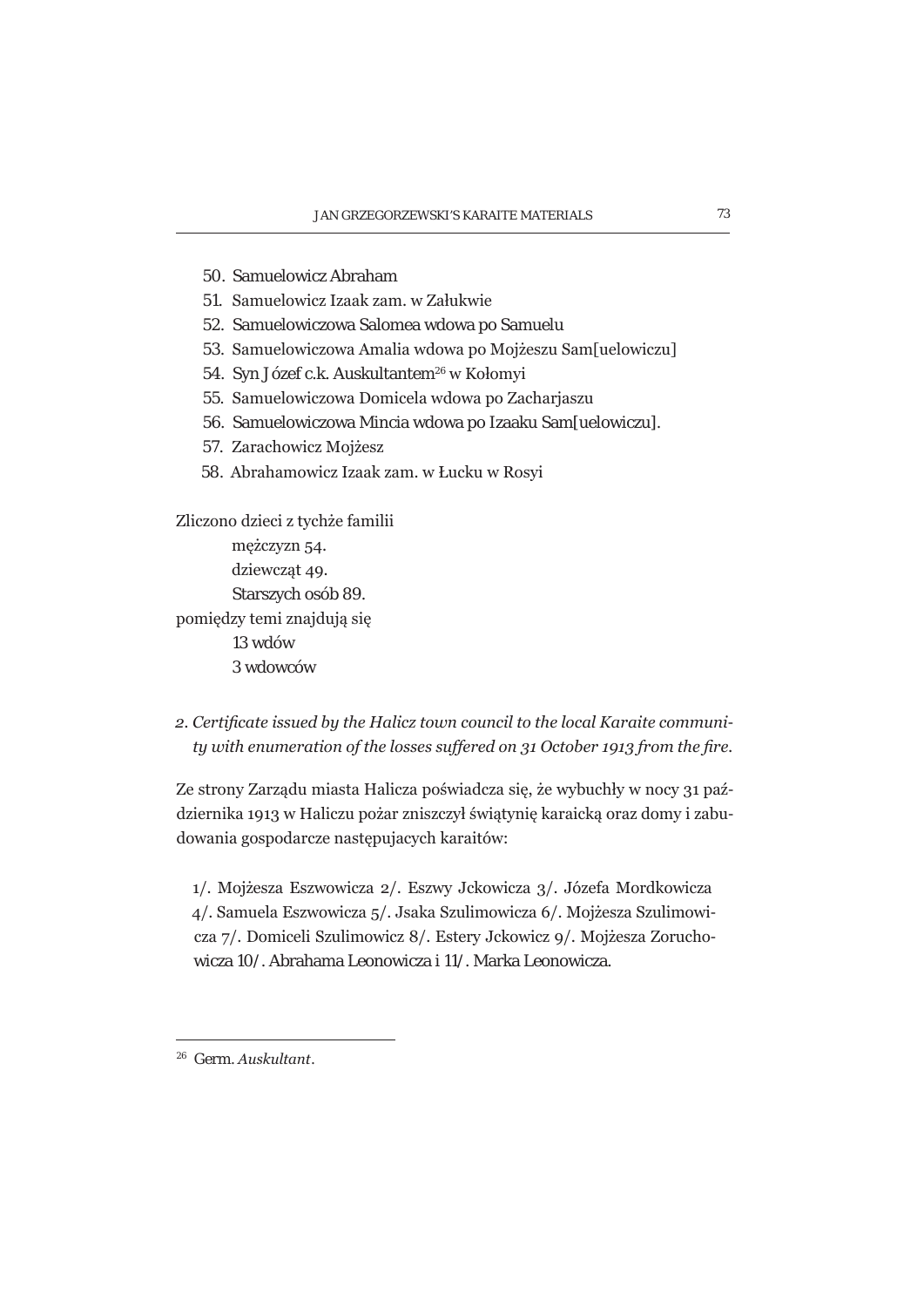- 50. Samuelowicz Abraham
- 51. Samuelowicz Izaak zam. w Załukwie
- 52. Samuelowiczowa Salomea wdowa po Samuelu
- 53. Samuelowiczowa Amalia wdowa po Mojżeszu Samluelowiczul
- 54. Syn Józef c.k. Auskultantem<sup>26</sup> w Kołomyi
- 55. Samuelowiczowa Domicela wdowa po Zacharjaszu
- 56. Samuelowiczowa Mincia wdowa po Izaaku Sam[uelowiczu].
- 57. Zarachowicz Mojżesz
- 58. Abrahamowicz Izaak zam. w Łucku w Rosyi

Zliczono dzieci z tychże familii mężczyzn 54. dziewczat 49. Starszych osób 89. pomiędzy temi znajdują się 13 wdów 3 wdowców

*a. Certificate issued by the Halicz town council to the local Karaite community* with enumeration of the losses suffered on 31 October 1913 from the fire.

Ze strony Zarządu miasta Halicza poświadcza się, że wybuchły w nocy 31 października 1913 w Haliczu pożar zniszczył świątynię karaicką oraz domy i zabudowania gospodarcze następujacych karaitów:

1/. Mojżesza Eszwowicza 2/. Eszwy Jckowicza 3/. Józefa Mordkowicza 4/. Samuela Eszwowicza 5/. Jsaka Szulimowicza 6/. Mojżesza Szulimowicza 7/. Domiceli Szulimowicz 8/. Estery Jckowicz 9/. Mojżesza Zoruchowicza 10/. Abrahama Leonowicza i 11/. Marka Leonowicza.

<sup>&</sup>lt;sup>26</sup> Germ. Auskultant.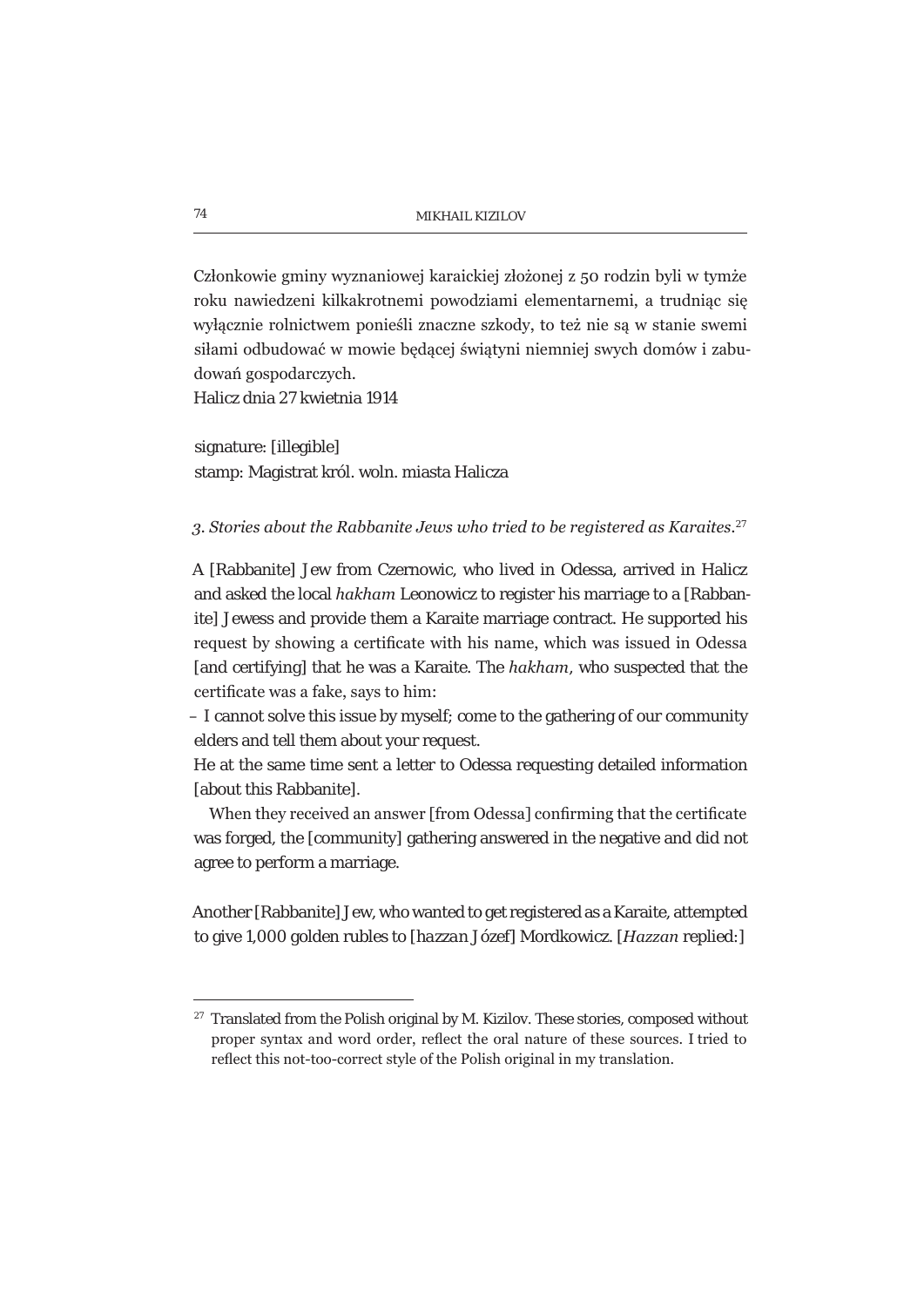Członkowie gminy wyznaniowej karaickiej złożonej z 50 rodzin byli w tymże roku nawiedzeni kilkakrotnemi powodziami elementarnemi, a trudniąc się wyłącznie rolnictwem ponieśli znaczne szkody, to też nie są w stanie swemi siłami odbudować w mowie bedacej światyni niemniej swych domów i zabudowań gospodarczych.

Halicz dnia 27 kwietnia 1914

signature: [illegible] stamp: Magistrat król. woln. miasta Halicza

#### 3. Stories about the Rabbanite Jews who tried to be registered as Karaites.<sup>27</sup>

A [Rabbanite] Jew from Czernowic, who lived in Odessa, arrived in Halicz and asked the local *hakham* Leonowicz to register his marriage to a [Rabbanite] Jewess and provide them a Karaite marriage contract. He supported his request by showing a certificate with his name, which was issued in Odessa [and certifying] that he was a Karaite. The *hakham*, who suspected that the certificate was a fake, says to him:

– I cannot solve this issue by myself; come to the gathering of our community elders and tell them about your request.

He at the same time sent a letter to Odessa requesting detailed information [about this Rabbanite].

When they received an answer [from Odessa] confirming that the certificate was forged, the [community] gathering answered in the negative and did not agree to perform a marriage.

Another [Rabbanite] Jew, who wanted to get registered as a Karaite, attempted to give 1,000 golden rubles to [*hazzan* Józef] Mordkowicz. [*Hazzan* replied:]

<sup>&</sup>lt;sup>27</sup> Translated from the Polish original by M. Kizilov. These stories, composed without proper syntax and word order, reflect the oral nature of these sources. I tried to reflect this not-too-correct style of the Polish original in my translation.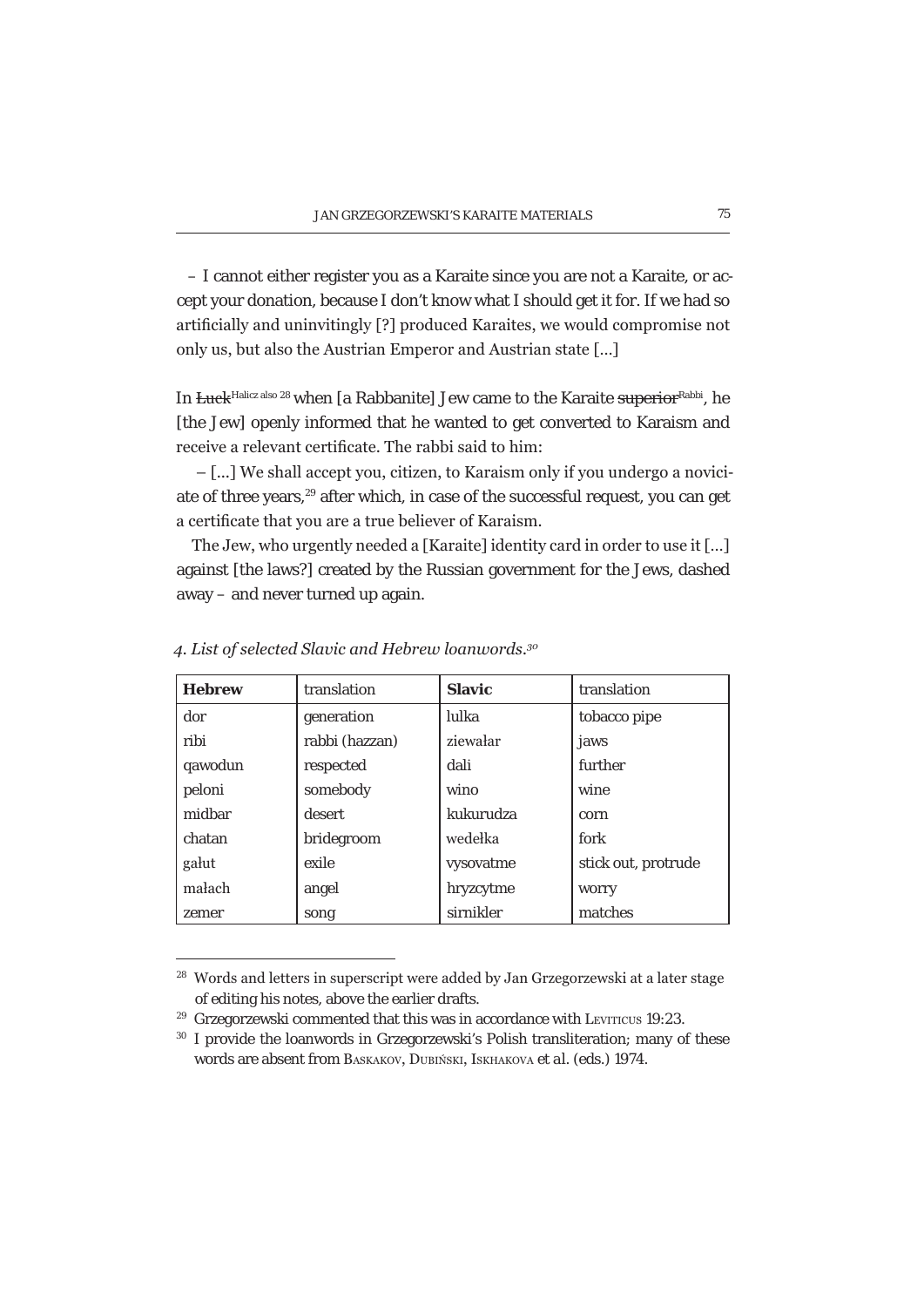– I cannot either register you as a Karaite since you are not a Karaite, or accept your donation, because I don't know what I should get it for. If we had so artificially and uninvitingly [?] produced Karaites, we would compromise not only us, but also the Austrian Emperor and Austrian state [...]

In *Euck*<sup>Halicz also 28</sup> when [a Rabbanite] Jew came to the Karaite superiorRabbi, he [the Jew] openly informed that he wanted to get converted to Karaism and receive a relevant certificate. The rabbi said to him:

 $-$  [...] We shall accept you, citizen, to Karaism only if you undergo a noviciate of three years,<sup>29</sup> after which, in case of the successful request, you can get a certificate that you are a true believer of Karaism.

The Jew, who urgently needed a [Karaite] identity card in order to use it [...] against [the laws?] created by the Russian government for the Jews, dashed away – and never turned up again.

| <b>Hebrew</b> | translation    | <b>Slavic</b> | translation         |
|---------------|----------------|---------------|---------------------|
| dor           | generation     | lulka         | tobacco pipe        |
| ribi          | rabbi (hazzan) | ziewałar      | jaws                |
| qawodun       | respected      | dali          | further             |
| peloni        | somebody       | wino          | wine                |
| midbar        | desert         | kukurudza     | corn                |
| chatan        | bridegroom     | wedelka       | fork                |
| galut         | exile          | vysovatme     | stick out, protrude |
| małach        | angel          | hryzcytme     | worry               |
| zemer         | song           | sirnikler     | matches             |

4. List of selected Slavic and Hebrew loanwords.<sup>30</sup>

<sup>&</sup>lt;sup>28</sup> Words and letters in superscript were added by Jan Grzegorzewski at a later stage of editing his notes, above the earlier drafts.

<sup>&</sup>lt;sup>29</sup> Grzegorzewski commented that this was in accordance with LEVITICUS 19:23.

<sup>&</sup>lt;sup>30</sup> I provide the loanwords in Grzegorzewski's Polish transliteration; many of these words are absent from BASKAKOV, DUBIŃSKI, ISKHAKOVA et al. (eds.) 1974.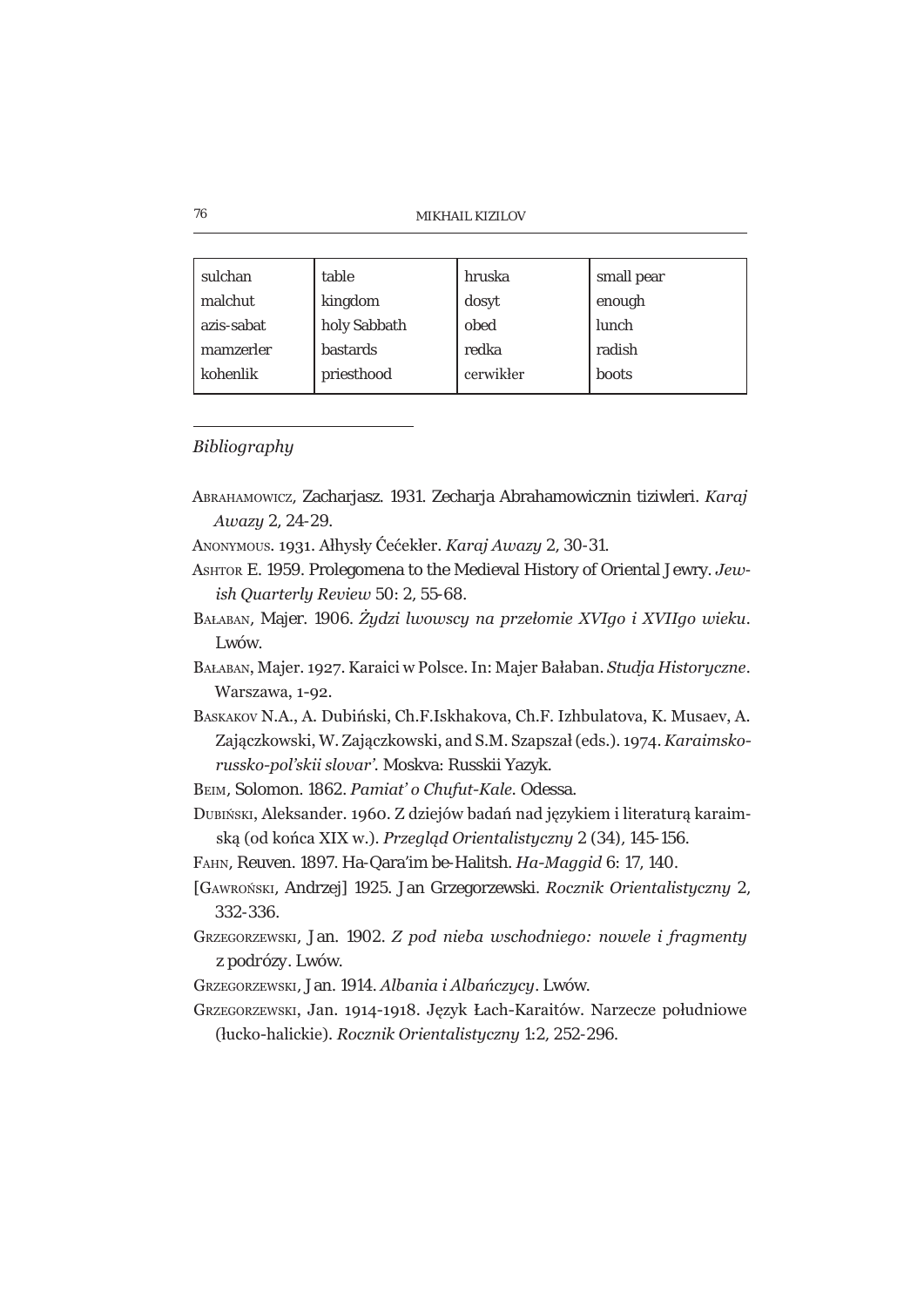| MIKHAIL KIZILOV |  |
|-----------------|--|
|-----------------|--|

| sulchan    | table        | hruska    | small pear |
|------------|--------------|-----------|------------|
| malchut    | kingdom      | dosyt     | enough     |
| azis-sabat | holy Sabbath | obed      | lunch      |
| mamzerler  | bastards     | redka     | radish     |
| kohenlik   | priesthood   | cerwikler | boots      |

#### Bibliography

- Авканамомисz, Zacharjasz. 1931. Zecharja Abrahamowicznin tiziwleri. Karaj Awazu 2, 24-29.
- ANONYMOUS. 1931. Alhysly Ćećekler. Karaj Awazy 2, 30-31.
- ASHTOR E. 1959. Prolegomena to the Medieval History of Oriental Jewry. Jewish Quarterly Review 50: 2, 55-68.
- BAŁABAN, Majer. 1906. Żydzi lwowscy na przełomie XVIgo i XVIIgo wieku. Lwów.
- BAŁABAN, Majer. 1927. Karaici w Polsce. In: Majer Bałaban. Studja Historyczne. Warszawa, 1-92.
- BASKAKOV N.A., A. Dubiński, Ch.F.Iskhakova, Ch.F. Izhbulatova, K. Musaev, A. Zajączkowski, W. Zajączkowski, and S.M. Szapszał (eds.), 1974. Karaimskorussko-pol'skii slovar'. Moskva: Russkii Yazyk.
- BEIM, Solomon. 1862. Pamiat' o Chufut-Kale. Odessa.
- DUBIŃSKI, Aleksander, 1960. Z dziejów badań nad jezykiem i literatura karaimską (od końca XIX w.). Przegląd Orientalistyczny 2 (34), 145-156.
- FAHN, Reuven. 1897. Ha-Qara'im be-Halitsh. Ha-Maggid 6: 17, 140.
- [GAWROŃSKI, Andrzej] 1925. Jan Grzegorzewski. Rocznik Orientalistyczny 2, 332-336.
- GRZEGORZEWSKI, Jan. 1902. Z pod nieba wschodniego: nowele i fragmenty z podrózy. Lwów.
- GRZEGORZEWSKI, Jan. 1914. Albania i Albańczycy. Lwów.
- GRZEGORZEWSKI, Jan. 1914-1918. Język Łach-Karaitów. Narzecze południowe (łucko-halickie). Rocznik Orientalistyczny 1:2, 252-296.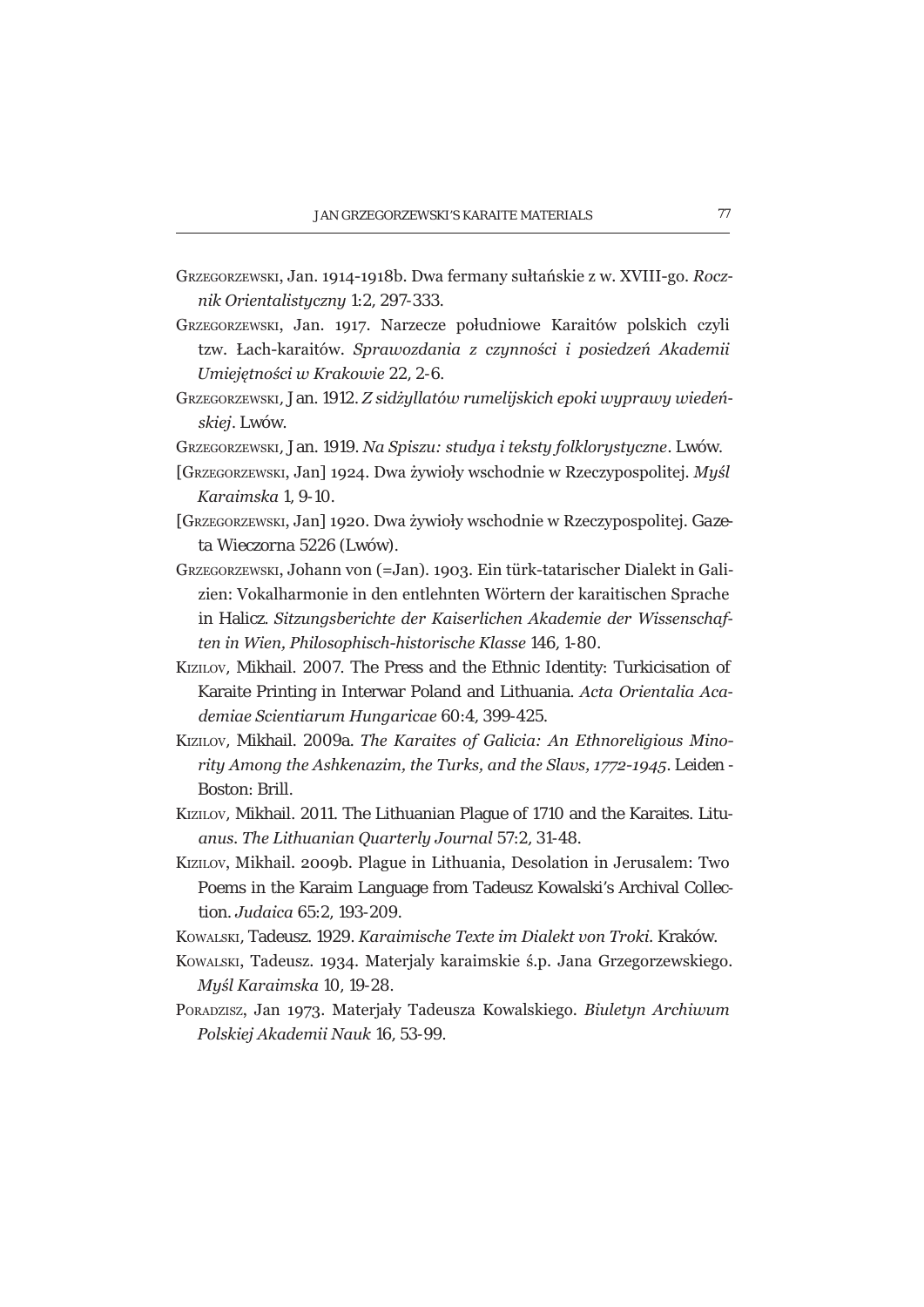- GRZEGORZEWSKI, Jan. 1914-1918b. Dwa fermany sułtańskie z w. XVIII-go. Rocznik Orientalistyczny 1:2, 297-333.
- GRZEGORZEWSKI, Jan. 1917. Narzecze południowe Karaitów polskich czyli tzw. Łach-karaitów. Sprawozdania z czynności i posiedzeń Akademii Umiejetności w Krakowie 22, 2-6.
- GRZEGORZEWSKI, Jan. 1912. Z sidżyllatów rumelijskich epoki wyprawy wiedeńskiej. Lwów.
- GRZEGORZEWSKI, Jan. 1919. Na Spiszu: studya i teksty folklorystyczne. LWÓW.
- [GRZEGORZEWSKI, Jan] 1924. Dwa żywioły wschodnie w Rzeczypospolitej. Myśl Karaimska 1, 9-10.
- [GRZEGORZEWSKI, Jan] 1920. Dwa żywioły wschodnie w Rzeczypospolitej. Gazeta Wieczorna 5226 (Lwów).
- GRZEGORZEWSKI, Johann von (=Jan), 1903. Ein türk-tatarischer Dialekt in Galizien: Vokalharmonie in den entlehnten Wörtern der karaitischen Sprache in Halicz. Sitzungsberichte der Kaiserlichen Akademie der Wissenschaften in Wien, Philosophisch-historische Klasse 146, 1-80.
- KIZILOV, Mikhail. 2007. The Press and the Ethnic Identity: Turkicisation of Karaite Printing in Interwar Poland and Lithuania, Acta Orientalia Academiae Scientiarum Hungaricae 60:4, 399-425.
- KiziLov, Mikhail, 2009a. The Karaites of Galicia: An Ethnoreliaious Minority Among the Ashkenazim, the Turks, and the Slavs, 1772-1945. Leiden -Boston: Brill.
- KIZILOV, Mikhail. 2011. The Lithuanian Plaque of 1710 and the Karaites. Lituanus. The Lithuanian Quarterly Journal 57:2, 31-48.
- Kizilov, Mikhail. 2009b. Plague in Lithuania, Desolation in Jerusalem: Two Poems in the Karaim Language from Tadeusz Kowalski's Archival Collection. Judaica 65:2, 193-209.
- KOWALSKI, Tadeusz, 1929. Karaimische Texte im Dialekt von Troki, Kraków.
- KOWALSKI, Tadeusz, 1934, Materialy karaimskie ś.p. Jana Grzegorzewskiego. Muśl Karaimska 10, 19-28.
- PORADZISZ, Jan 1973. Materjały Tadeusza Kowalskiego. Biuletyn Archiwum Polskiej Akademii Nauk 16, 53-99.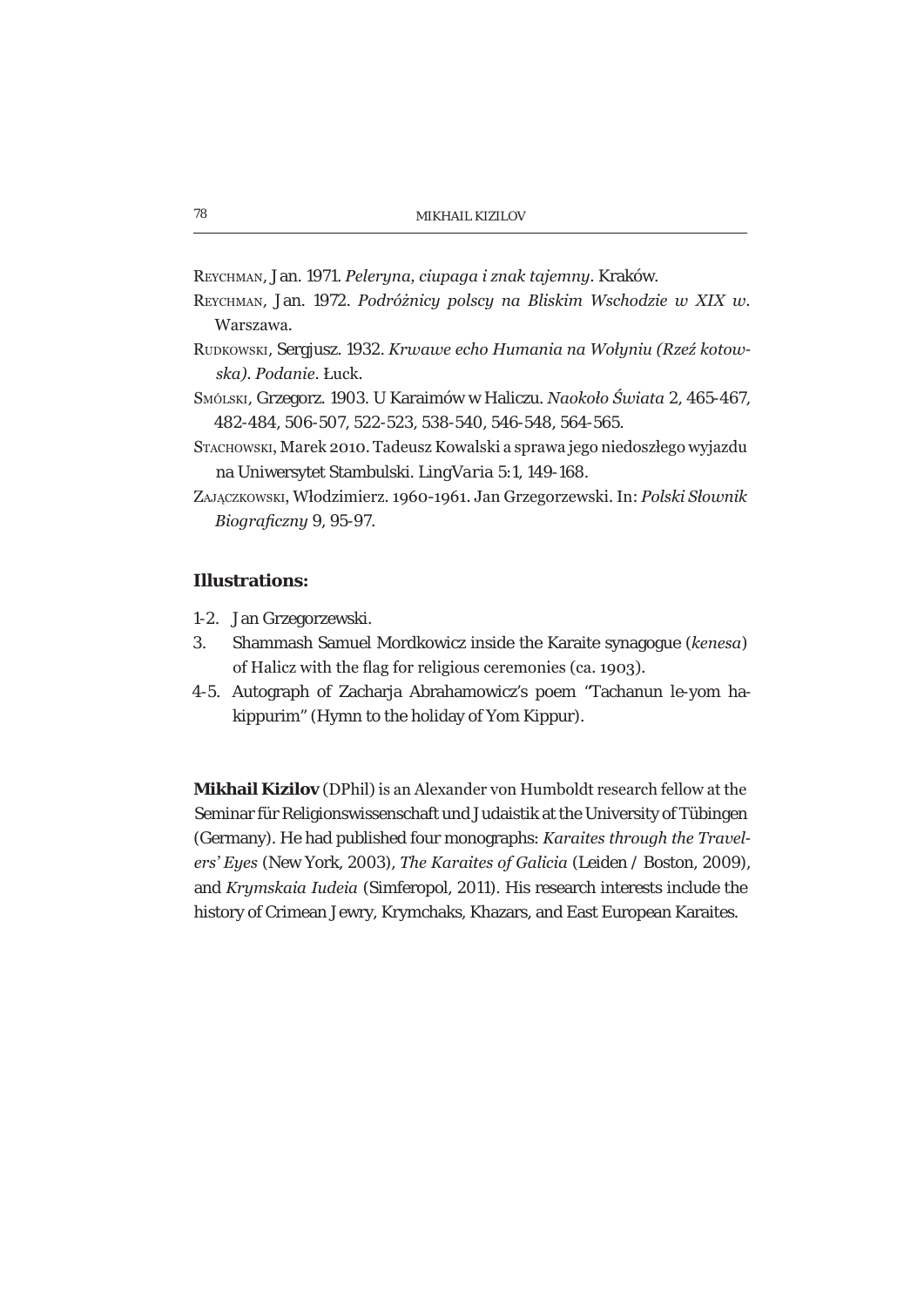REYCHMAN, Jan. 1971. Peleryna, ciupaga i znak tajemny. Kraków.

- REYCHMAN, Jan. 1972. Podróżnicy polscy na Bliskim Wschodzie w XIX w. Warszawa.
- RUDKOWSKI, Sergiusz, 1932, Krwawe echo Humania na Wołuniu (Rzeź kotowska). Podanie. Łuck.
- SMÓLSKI, Grzegorz. 1903. U Karaimów w Haliczu. Naokoło Świata 2, 465-467, 482-484, 506-507, 522-523, 538-540, 546-548, 564-565.
- Sтасноwsки, Marek 2010. Tadeusz Kowalski a sprawa jego niedoszłego wyjazdu na Uniwersytet Stambulski. LingVaria 5:1, 149-168.
- ZAJACZKOWSKI, Włodzimierz, 1960-1961, Jan Grzegorzewski, In: Polski Słownik Bioaraficzny 9, 95-97.

## **Illustrations:**

- 1-2. Jan Grzegorzewski.
- Shammash Samuel Mordkowicz inside the Karaite synagogue (kenesa)  $\mathcal{S}$ of Halicz with the flag for religious ceremonies (ca. 1903).
- 4-5. Autograph of Zacharia Abrahamowicz's poem "Tachanun le-vom hakippurim" (Hymn to the holiday of Yom Kippur).

Mikhail Kizilov (DPhil) is an Alexander von Humboldt research fellow at the Seminar für Religionswissenschaft und Judaistik at the University of Tübingen (Germany). He had published four monographs: Karaites through the Travelers' Eyes (New York, 2003), The Karaites of Galicia (Leiden / Boston, 2009), and Krymskaia Iudeia (Simferopol, 2011). His research interests include the history of Crimean Jewry, Krymchaks, Khazars, and East European Karaites.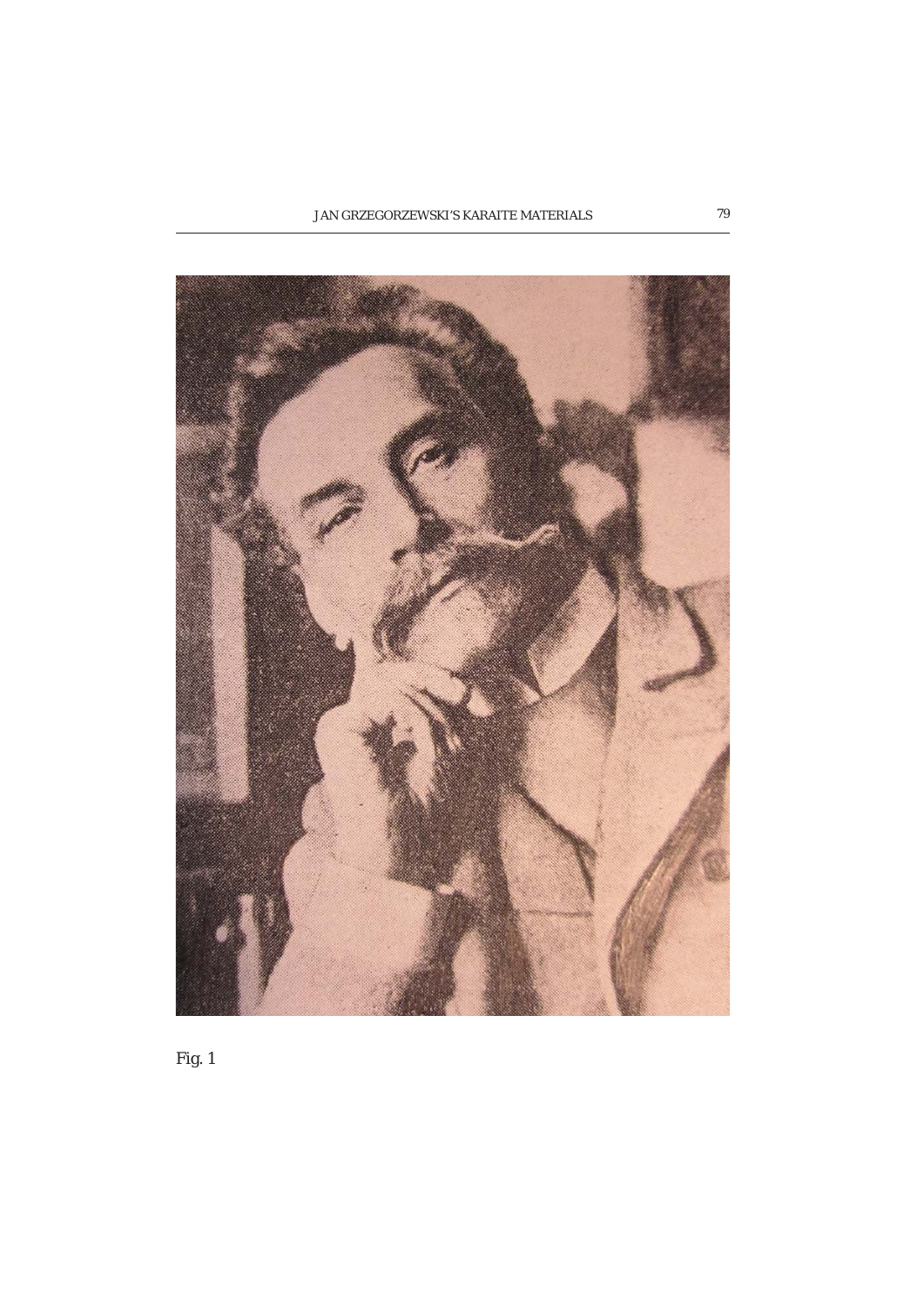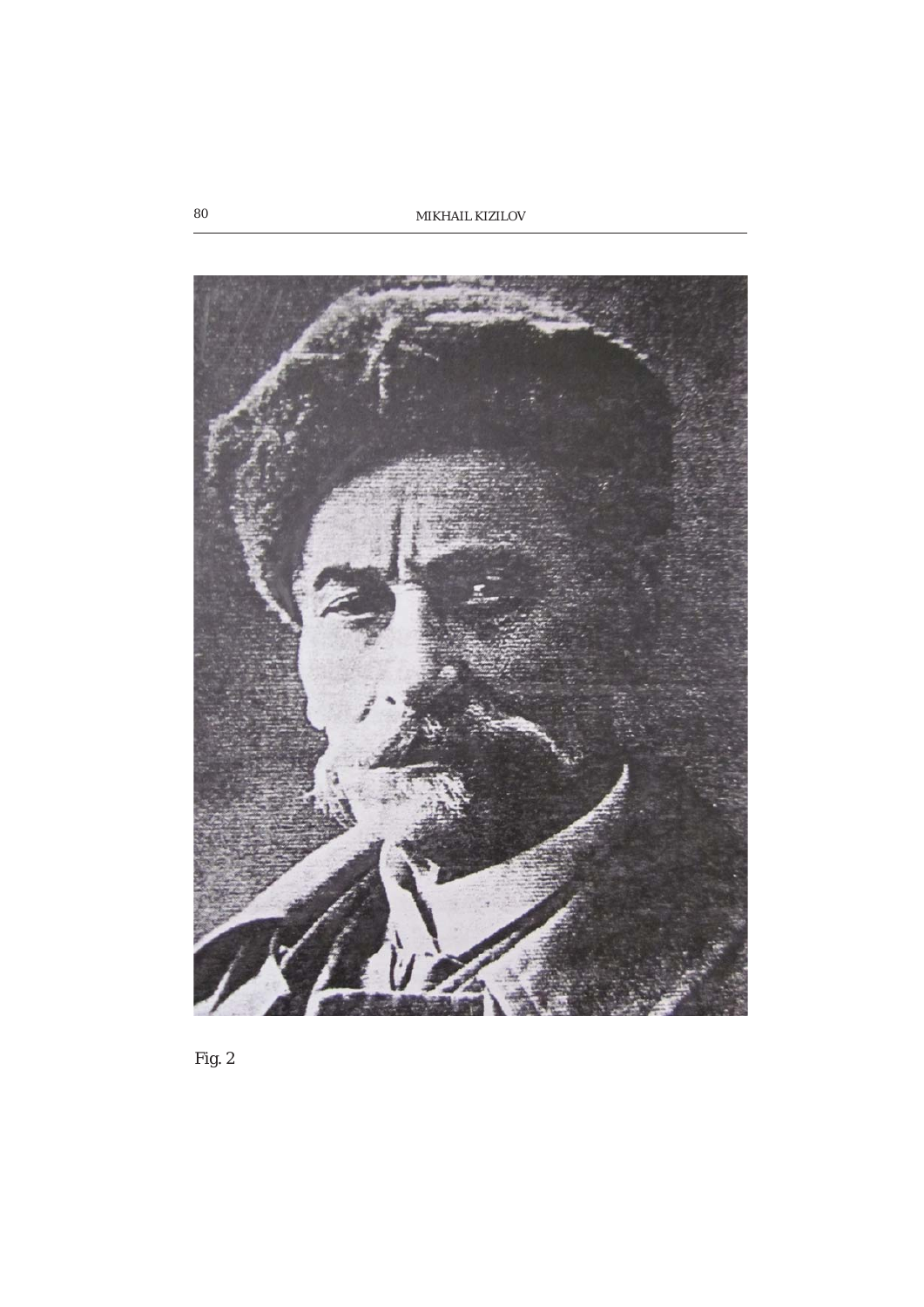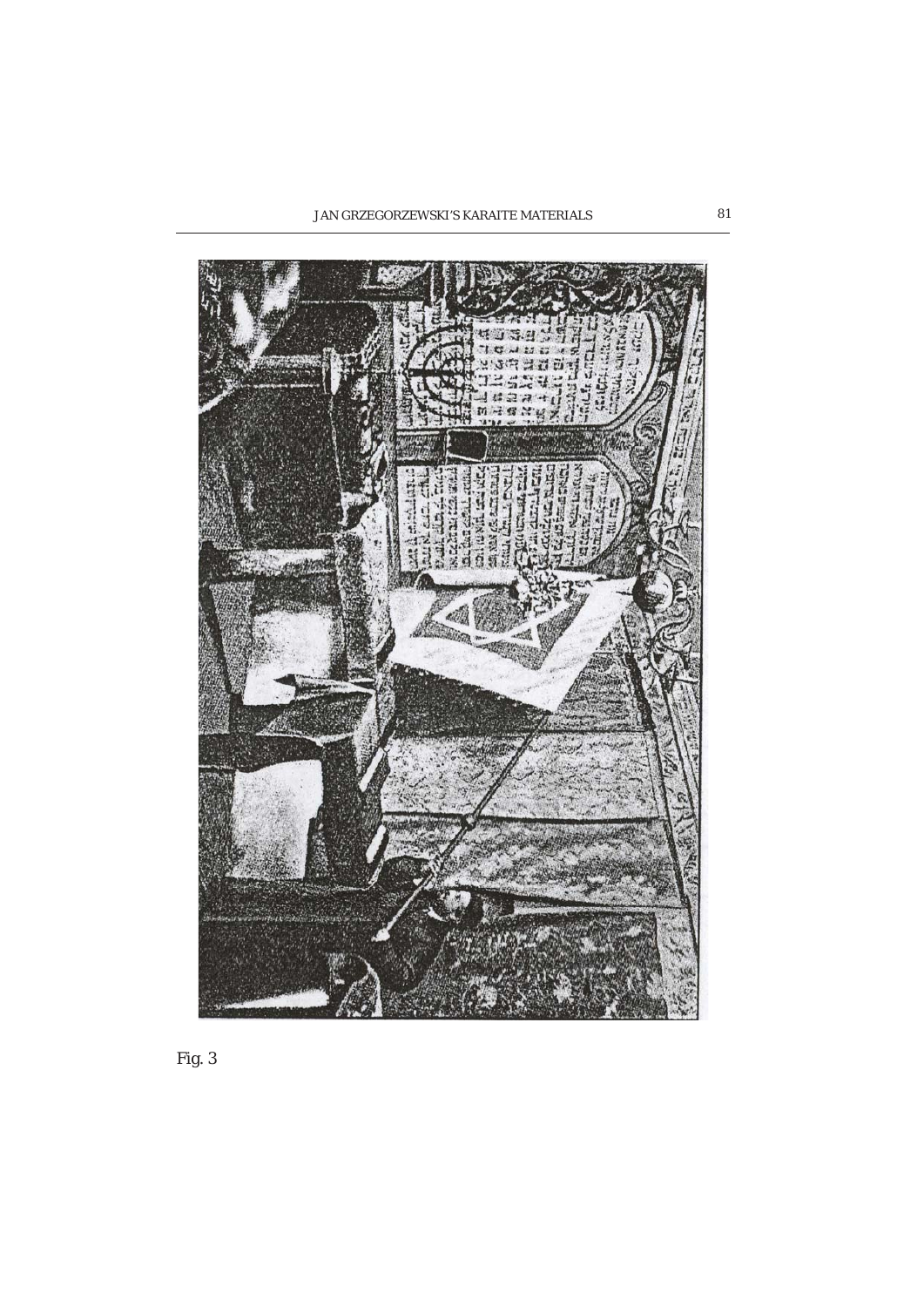

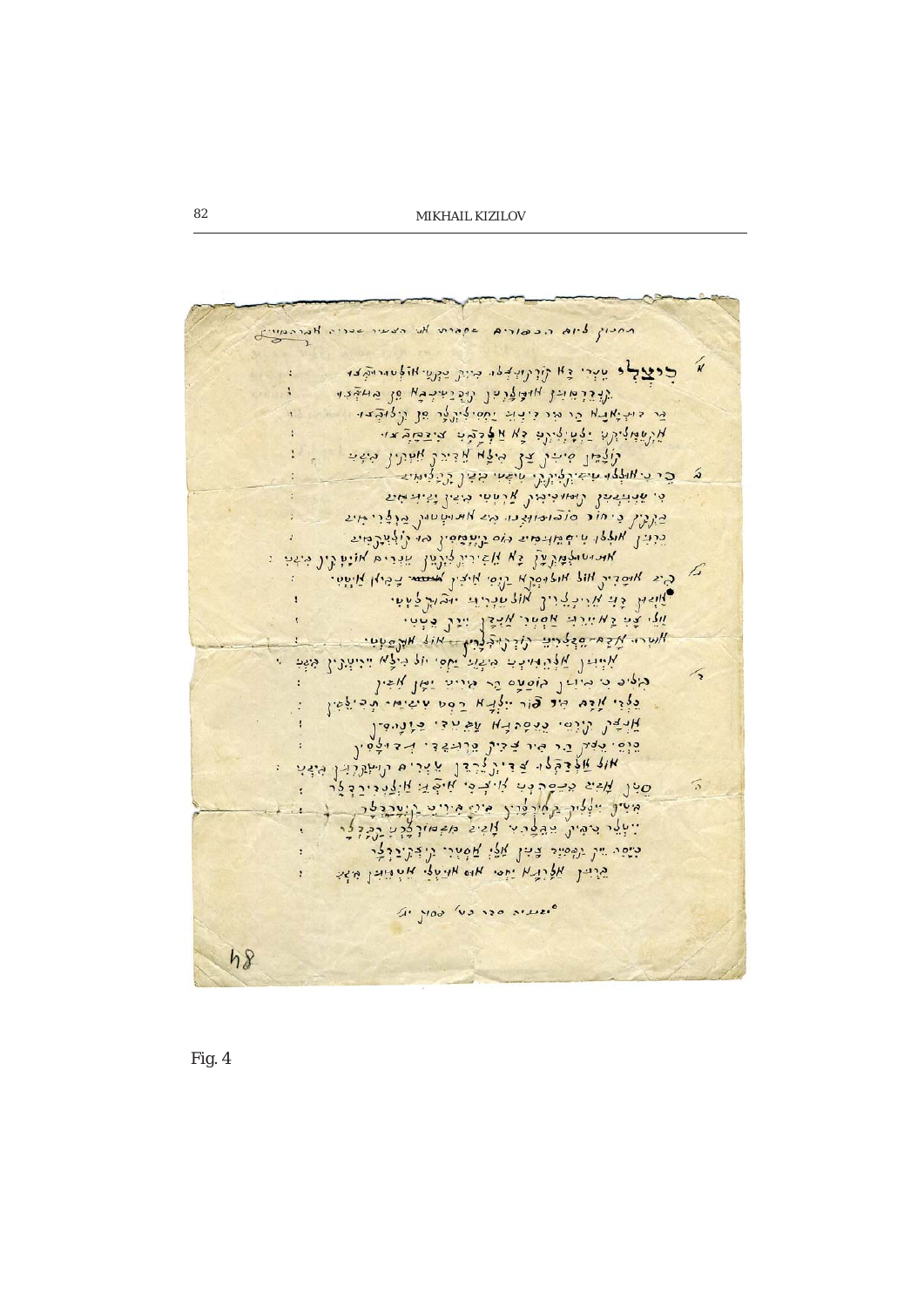Antif dis realing again the cour serie Haraming لا جديدياه يبدر والأزرابيدا، منتر يبري المالم الداخله  $\ddot{\cdot}$ על צלטור נוד לומקללה להלה הא 10 מחלבו. قد داختمانهم قد طد ذرخة تفقيق قد قد شويونه. אַ עֲשׁוּלִיהָע יַלּטִילִינֶ כָּא אַלְבָקִי צִיבְקַבִּצּוּ لأقتدا فاخر مخل موله بالاندلا بالمنذر ولمخم جدد اللهاوا بالجنيرة براير بالمجلا بنجار بردوالله  $\tilde{\bm{\omega}}$ و. عذامنه مع للمدون من المرام المن المن المن المن בינין ניחור סובומוצנו מג אמישטון בולוימי ברוין אוללו טיף לויכתי הוס ניינטסין הו רולייר בייג אונישול מוני גַא אֲזִינִינֶלוֹנָשׁן שִׁנְרִית אוֹנִין קָין מִיזִי of Co Whois. All Welled W - 1201 Min. 5 1917. في المجموع ويد بيروريو والا يا المراد المعدية المحدود والمحدود والمحدود المردوع المحدود المحدود المحدود المحدود אֶלֵי צָטָ גַא יָיִרֵאָ אַפְטְרִ אַבְרָ יִיִנָּךְ בִּיְטִי برامود، بيروه چوكو المور والمراريخ في المرياء المالي المالي المالي المالي المرياء .<br>المستمر المرياض المحمد المرياح والمرياح المرياح المرياح المالي المالي المرياض المرياض المرياض المرياض المرياض  $\sqrt{3}$ وروره ورمرات واققه قد مدنة تما باغا בַפְרַי מַבָּם מִד פּוֹר יוֹלַנָא רַפְט עִישִׁיחִי תְכִילִשֵׁין بَلْبُهُولُ زَلَرْنَ، دَرَهُ دِنْهِ الْغَارَ فَيْ وَالْمُسْفَرِّ סינ מיי הכסרוני איציי איבוי אולייינלי  $\sqrt{2}$ יישלי המית המלכה לואיל מלחולהה לללה כֹנֵסֵה יִיךְ נַפְּסִיִר צִִּיּךָ אֲלֵי אֲמָנִי נִיְדָּקִינַרְצָר Viel Aquin ide He Hide Hiddleinleis  $4.1000$  vs 120 site.  $h8$